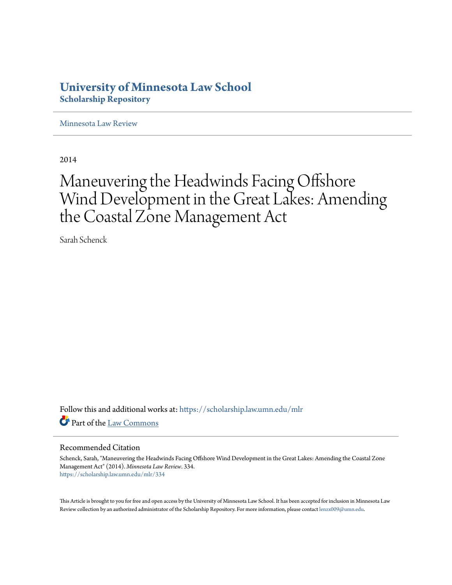## **University of Minnesota Law School [Scholarship Repository](https://scholarship.law.umn.edu?utm_source=scholarship.law.umn.edu%2Fmlr%2F334&utm_medium=PDF&utm_campaign=PDFCoverPages)**

[Minnesota Law Review](https://scholarship.law.umn.edu/mlr?utm_source=scholarship.law.umn.edu%2Fmlr%2F334&utm_medium=PDF&utm_campaign=PDFCoverPages)

2014

# Maneuvering the Headwinds Facing Offshore Wind Development in the Great Lakes: Amending the Coastal Zone Management Act

Sarah Schenck

Follow this and additional works at: [https://scholarship.law.umn.edu/mlr](https://scholarship.law.umn.edu/mlr?utm_source=scholarship.law.umn.edu%2Fmlr%2F334&utm_medium=PDF&utm_campaign=PDFCoverPages) Part of the [Law Commons](http://network.bepress.com/hgg/discipline/578?utm_source=scholarship.law.umn.edu%2Fmlr%2F334&utm_medium=PDF&utm_campaign=PDFCoverPages)

#### Recommended Citation

Schenck, Sarah, "Maneuvering the Headwinds Facing Offshore Wind Development in the Great Lakes: Amending the Coastal Zone Management Act" (2014). *Minnesota Law Review*. 334. [https://scholarship.law.umn.edu/mlr/334](https://scholarship.law.umn.edu/mlr/334?utm_source=scholarship.law.umn.edu%2Fmlr%2F334&utm_medium=PDF&utm_campaign=PDFCoverPages)

This Article is brought to you for free and open access by the University of Minnesota Law School. It has been accepted for inclusion in Minnesota Law Review collection by an authorized administrator of the Scholarship Repository. For more information, please contact [lenzx009@umn.edu.](mailto:lenzx009@umn.edu)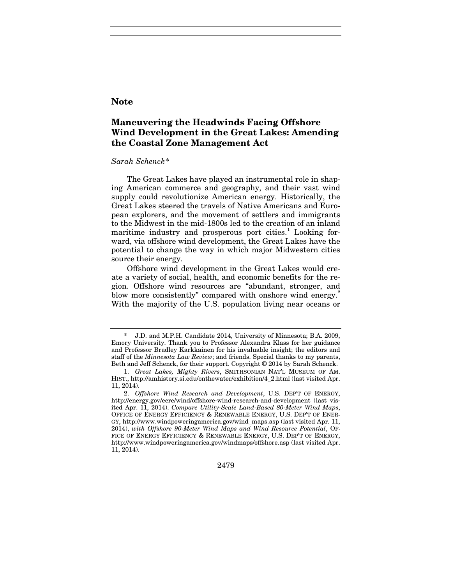## **Note**

## **Maneuvering the Headwinds Facing Offshore Wind Development in the Great Lakes: Amending the Coastal Zone Management Act**

#### *Sarah Schenck*[\\*](#page-1-0)

The Great Lakes have played an instrumental role in shaping American commerce and geography, and their vast wind supply could revolutionize American energy. Historically, the Great Lakes steered the travels of Native Americans and European explorers, and the movement of settlers and immigrants to the Midwest in the mid-1800s led to the creation of an inland maritime industry and prosperous port cities.<sup>[1](#page-1-1)</sup> Looking forward, via offshore wind development, the Great Lakes have the potential to change the way in which major Midwestern cities source their energy.

Offshore wind development in the Great Lakes would create a variety of social, health, and economic benefits for the region. Offshore wind resources are "abundant, stronger, and blow more consistently" compared with onshore wind energy.<sup>[2](#page-1-2)</sup> With the majority of the U.S. population living near oceans or

<span id="page-1-2"></span><sup>2.</sup> *Offshore Wind Research and Development*, U.S. DEP'T OF ENERGY, http://energy.gov/eere/wind/offshore-wind-research-and-development (last visited Apr. 11, 2014). *Compare Utility-Scale Land-Based 80-Meter Wind Maps*, OFFICE OF ENERGY EFFICIENCY & RENEWABLE ENERGY, U.S. DEP'T OF ENER-GY, http://www.windpoweringamerica.gov/wind\_maps.asp (last visited Apr. 11, 2014), *with Offshore 90-Meter Wind Maps and Wind Resource Potential*, OF-FICE OF ENERGY EFFICIENCY & RENEWABLE ENERGY, U.S. DEP'T OF ENERGY, http://www.windpoweringamerica.gov/windmaps/offshore.asp (last visited Apr. 11, 2014).



<span id="page-1-0"></span><sup>\*</sup> J.D. and M.P.H. Candidate 2014, University of Minnesota; B.A. 2009, Emory University. Thank you to Professor Alexandra Klass for her guidance and Professor Bradley Karkkainen for his invaluable insight; the editors and staff of the *Minnesota Law Review*; and friends. Special thanks to my parents, Beth and Jeff Schenck, for their support. Copyright © 2014 by Sarah Schenck.

<span id="page-1-1"></span><sup>1.</sup> *Great Lakes, Mighty Rivers*, SMITHSONIAN NAT'L MUSEUM OF AM. HIST., http://amhistory.si.edu/onthewater/exhibition/4\_2.html (last visited Apr. 11, 2014).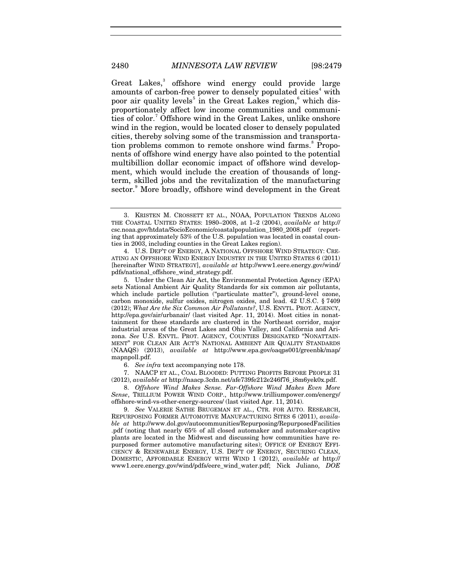<span id="page-2-9"></span><span id="page-2-8"></span>Great Lakes,<sup>[3](#page-2-0)</sup> offshore wind energy could provide large amounts of carbon-free power to densely populated cities<sup>[4](#page-2-1)</sup> with poor air quality levels<sup>[5](#page-2-2)</sup> in the Great Lakes region,<sup>[6](#page-2-3)</sup> which disproportionately affect low income communities and communi-ties of color.<sup>[7](#page-2-4)</sup> Offshore wind in the Great Lakes, unlike onshore wind in the region, would be located closer to densely populated cities, thereby solving some of the transmission and transporta-tion problems common to remote onshore wind farms.<sup>[8](#page-2-5)</sup> Proponents of offshore wind energy have also pointed to the potential multibillion dollar economic impact of offshore wind development, which would include the creation of thousands of longterm, skilled jobs and the revitalization of the manufacturing sector.<sup>[9](#page-2-6)</sup> More broadly, offshore wind development in the Great

6. *See infra* text accompanying note [178.](#page-28-0)

<span id="page-2-4"></span><span id="page-2-3"></span>7. NAACP ET AL., COAL BLOODED: PUTTING PROFITS BEFORE PEOPLE 31 (2012), *available at* http://naacp.3cdn.net/afe739fe212e246f76\_i8m6yek0x.pdf.

<span id="page-2-5"></span>8. *Offshore Wind Makes Sense. Far-Offshore Wind Makes Even More Sense*, TRILLIUM POWER WIND CORP., http://www.trilliumpower.com/energy/ offshore-wind-vs-other-energy-sources/ (last visited Apr. 11, 2014).

<span id="page-2-6"></span>9. *See* VALERIE SATHE BRUGEMAN ET AL., CTR. FOR AUTO. RESEARCH, REPURPOSING FORMER AUTOMOTIVE MANUFACTURING SITES 6 (2011), *available at* http://www.dol.gov/autocommunities/Repurposing/RepurposedFacilities .pdf (noting that nearly 65% of all closed automaker and automaker-captive plants are located in the Midwest and discussing how communities have repurposed former automotive manufacturing sites); OFFICE OF ENERGY EFFI-CIENCY & RENEWABLE ENERGY, U.S. DEP'T OF ENERGY, SECURING CLEAN, DOMESTIC, AFFORDABLE ENERGY WITH WIND 1 (2012), *available at* http:// www1.eere.energy.gov/wind/pdfs/eere\_wind\_water.pdf; Nick Juliano, *DOE* 

<span id="page-2-7"></span><span id="page-2-0"></span><sup>3.</sup> KRISTEN M. CROSSETT ET AL., NOAA, POPULATION TRENDS ALONG THE COASTAL UNITED STATES: 1980–2008, at 1–2 (2004), *available at* http:// csc.noaa.gov/htdata/SocioEconomic/coastalpopulation\_1980\_2008.pdf (reporting that approximately 53% of the U.S. population was located in coastal counties in 2003, including counties in the Great Lakes region).

<span id="page-2-1"></span><sup>4.</sup> U.S. DEP'T OF ENERGY, A NATIONAL OFFSHORE WIND STRATEGY: CRE-ATING AN OFFSHORE WIND ENERGY INDUSTRY IN THE UNITED STATES 6 (2011) [hereinafter WIND STRATEGY], *available at* http://www1.eere.energy.gov/wind/ pdfs/national\_offshore\_wind\_strategy.pdf.

<span id="page-2-2"></span><sup>5.</sup> Under the Clean Air Act, the Environmental Protection Agency (EPA) sets National Ambient Air Quality Standards for six common air pollutants, which include particle pollution ("particulate matter"), ground-level ozone, carbon monoxide, sulfur oxides, nitrogen oxides, and lead. 42 U.S.C. § 7409 (2012); *What Are the Six Common Air Pollutants?*, U.S. ENVTL. PROT. AGENCY, http://epa.gov/air/urbanair/ (last visited Apr. 11, 2014). Most cities in nonattainment for these standards are clustered in the Northeast corridor, major industrial areas of the Great Lakes and Ohio Valley, and California and Arizona. *See* U.S. ENVTL. PROT. AGENCY, COUNTIES DESIGNATED "NONATTAIN-MENT" FOR CLEAN AIR ACT'S NATIONAL AMBIENT AIR QUALITY STANDARDS (NAAQS) (2013), *available at* http://www.epa.gov/oaqps001/greenbk/map/ mapnpoll.pdf.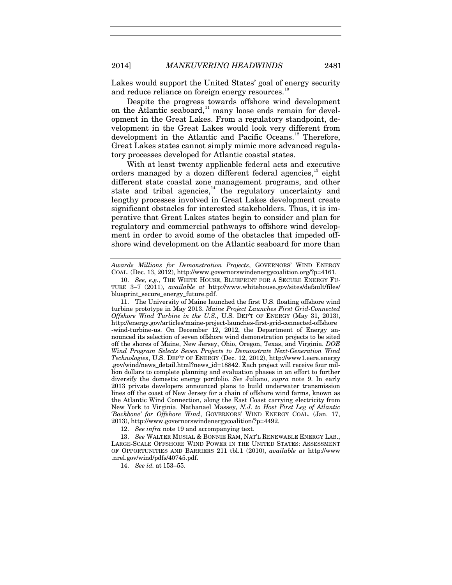Lakes would support the United States' goal of energy security and reduce reliance on foreign energy resources.<sup>[10](#page-3-0)</sup>

Despite the progress towards offshore wind development on the Atlantic seaboard, $11$  many loose ends remain for development in the Great Lakes. From a regulatory standpoint, development in the Great Lakes would look very different from development in the Atlantic and Pacific Oceans.<sup>[12](#page-3-2)</sup> Therefore, Great Lakes states cannot simply mimic more advanced regulatory processes developed for Atlantic coastal states.

<span id="page-3-6"></span>With at least twenty applicable federal acts and executive orders managed by a dozen different federal agencies,<sup>[13](#page-3-3)</sup> eight different state coastal zone management programs, and other state and tribal agencies, $14$  the regulatory uncertainty and lengthy processes involved in Great Lakes development create significant obstacles for interested stakeholders. Thus, it is imperative that Great Lakes states begin to consider and plan for regulatory and commercial pathways to offshore wind development in order to avoid some of the obstacles that impeded offshore wind development on the Atlantic seaboard for more than

12. *See infra* note [19](#page-5-0) and accompanying text.

<span id="page-3-4"></span><span id="page-3-3"></span><span id="page-3-2"></span>13. *See* WALTER MUSIAL & BONNIE RAM, NAT'L RENEWABLE ENERGY LAB., LARGE-SCALE OFFSHORE WIND POWER IN THE UNITED STATES: ASSESSMENT OF OPPORTUNITIES AND BARRIERS 211 tbl.1 (2010), *available at* http://www .nrel.gov/wind/pdfs/40745.pdf.

14. *See id.* at 153–55.

<span id="page-3-7"></span><span id="page-3-5"></span>

*Awards Millions for Demonstration Projects*, GOVERNORS' WIND ENERGY COAL. (Dec. 13, 2012), http://www.governorswindenergycoalition.org/?p=4161.

<span id="page-3-0"></span><sup>10.</sup> *See, e.g.*, THE WHITE HOUSE, BLUEPRINT FOR A SECURE ENERGY FU-TURE 3–7 (2011), *available at* http://www.whitehouse.gov/sites/default/files/ blueprint\_secure\_energy\_future.pdf.

<span id="page-3-1"></span><sup>11.</sup> The University of Maine launched the first U.S. floating offshore wind turbine prototype in May 2013. *Maine Project Launches First Grid-Connected Offshore Wind Turbine in the U.S.*, U.S. DEP'T OF ENERGY (May 31, 2013), http://energy.gov/articles/maine-project-launches-first-grid-connected-offshore -wind-turbine-us. On December 12, 2012, the Department of Energy announced its selection of seven offshore wind demonstration projects to be sited off the shores of Maine, New Jersey, Ohio, Oregon, Texas, and Virginia. *DOE Wind Program Selects Seven Projects to Demonstrate Next-Generation Wind Technologies*, U.S. DEP'T OF ENERGY (Dec. 12, 2012), http://www1.eere.energy .gov/wind/news\_detail.html?news\_id=18842. Each project will receive four million dollars to complete planning and evaluation phases in an effort to further diversify the domestic energy portfolio. *See* Juliano, *supra* note [9.](#page-2-7) In early 2013 private developers announced plans to build underwater transmission lines off the coast of New Jersey for a chain of offshore wind farms, known as the Atlantic Wind Connection, along the East Coast carrying electricity from New York to Virginia. Nathanael Massey, *N.J. to Host First Leg of Atlantic 'Backbone' for Offshore Wind*, GOVERNORS' WIND ENERGY COAL. (Jan. 17, 2013), http://www.governorswindenergycoalition/?p=4492.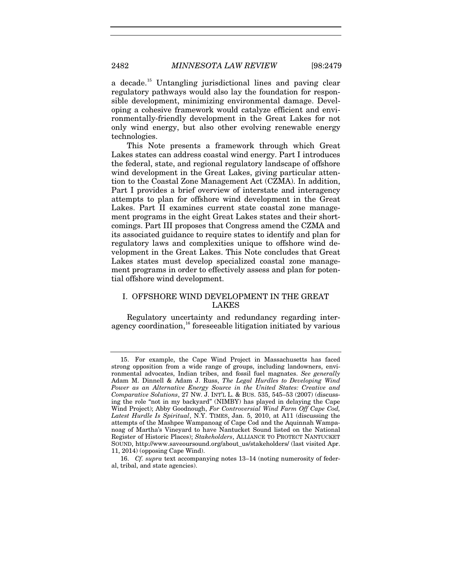<span id="page-4-2"></span>a decade.<sup>[15](#page-4-0)</sup> Untangling jurisdictional lines and paving clear regulatory pathways would also lay the foundation for responsible development, minimizing environmental damage. Developing a cohesive framework would catalyze efficient and environmentally-friendly development in the Great Lakes for not only wind energy, but also other evolving renewable energy technologies.

This Note presents a framework through which Great Lakes states can address coastal wind energy. Part I introduces the federal, state, and regional regulatory landscape of offshore wind development in the Great Lakes, giving particular attention to the Coastal Zone Management Act (CZMA). In addition, Part I provides a brief overview of interstate and interagency attempts to plan for offshore wind development in the Great Lakes. Part II examines current state coastal zone management programs in the eight Great Lakes states and their shortcomings. Part III proposes that Congress amend the CZMA and its associated guidance to require states to identify and plan for regulatory laws and complexities unique to offshore wind development in the Great Lakes. This Note concludes that Great Lakes states must develop specialized coastal zone management programs in order to effectively assess and plan for potential offshore wind development.

#### I. OFFSHORE WIND DEVELOPMENT IN THE GREAT LAKES

Regulatory uncertainty and redundancy regarding inter-agency coordination,<sup>[16](#page-4-1)</sup> foreseeable litigation initiated by various

<span id="page-4-0"></span><sup>15.</sup> For example, the Cape Wind Project in Massachusetts has faced strong opposition from a wide range of groups, including landowners, environmental advocates, Indian tribes, and fossil fuel magnates. *See generally*  Adam M. Dinnell & Adam J. Russ, *The Legal Hurdles to Developing Wind Power as an Alternative Energy Source in the United States: Creative and Comparative Solutions*, 27 NW. J. INT'L L. & BUS. 535, 545–53 (2007) (discussing the role "not in my backyard" (NIMBY) has played in delaying the Cape Wind Project); Abby Goodnough, *For Controversial Wind Farm Off Cape Cod, Latest Hurdle Is Spiritual*, N.Y. TIMES, Jan. 5, 2010, at A11 (discussing the attempts of the Mashpee Wampanoag of Cape Cod and the Aquinnah Wampanoag of Martha's Vineyard to have Nantucket Sound listed on the National Register of Historic Places); *Stakeholders*, ALLIANCE TO PROTECT NANTUCKET SOUND, http://www.saveoursound.org/about\_us/stakeholders/ (last visited Apr. 11, 2014) (opposing Cape Wind).

<span id="page-4-1"></span><sup>16.</sup> *Cf. supra* text accompanying notes [13](#page-3-5)[–14](#page-3-6) (noting numerosity of federal, tribal, and state agencies).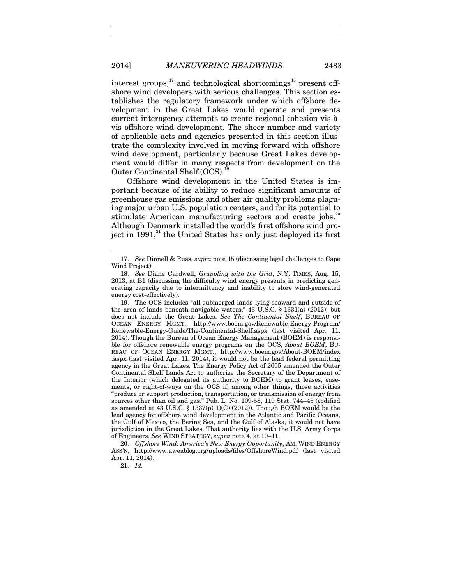<span id="page-5-8"></span>interest groups, $17$  and technological shortcomings<sup>[18](#page-5-2)</sup> present offshore wind developers with serious challenges. This section establishes the regulatory framework under which offshore development in the Great Lakes would operate and presents current interagency attempts to create regional cohesion vis-àvis offshore wind development. The sheer number and variety of applicable acts and agencies presented in this section illustrate the complexity involved in moving forward with offshore wind development, particularly because Great Lakes development would differ in many respects from development on the Outer Continental Shelf (OCS).<sup>1</sup>

<span id="page-5-7"></span><span id="page-5-0"></span>Offshore wind development in the United States is important because of its ability to reduce significant amounts of greenhouse gas emissions and other air quality problems plaguing major urban U.S. population centers, and for its potential to stimulate American manufacturing sectors and create jobs.<sup>[20](#page-5-4)</sup> Although Denmark installed the world's first offshore wind project in  $1991$ ,<sup>[21](#page-5-5)</sup> the United States has only just deployed its first

<span id="page-5-5"></span><span id="page-5-4"></span>20. *Offshore Wind: America's New Energy Opportunity*, AM. WIND ENERGY ASS'N, http://www.aweablog.org/uploads/files/OffshoreWind.pdf (last visited Apr. 11, 2014).

21. *Id.*

<span id="page-5-6"></span><span id="page-5-1"></span><sup>17.</sup> *See* Dinnell & Russ, *supra* note [15](#page-4-2) (discussing legal challenges to Cape Wind Project).

<span id="page-5-2"></span><sup>18.</sup> *See* Diane Cardwell, *Grappling with the Grid*, N.Y. TIMES, Aug. 15, 2013, at B1 (discussing the difficulty wind energy presents in predicting generating capacity due to intermittency and inability to store wind-generated energy cost-effectively).

<span id="page-5-3"></span><sup>19.</sup> The OCS includes "all submerged lands lying seaward and outside of the area of lands beneath navigable waters," 43 U.S.C. § 1331(a) (2012), but does not include the Great Lakes. *See The Continental Shelf*, BUREAU OF OCEAN ENERGY MGMT., http://www.boem.gov/Renewable-Energy-Program/ Renewable-Energy-Guide/The-Continental-Shelf.aspx (last visited Apr. 11, 2014). Though the Bureau of Ocean Energy Management (BOEM) is responsible for offshore renewable energy programs on the OCS, *About BOEM*, BU-REAU OF OCEAN ENERGY MGMT., http://www.boem.gov/About-BOEM/index .aspx (last visited Apr. 11, 2014), it would not be the lead federal permitting agency in the Great Lakes. The Energy Policy Act of 2005 amended the Outer Continental Shelf Lands Act to authorize the Secretary of the Department of the Interior (which delegated its authority to BOEM) to grant leases, easements, or right-of-ways on the OCS if, among other things, those activities "produce or support production, transportation, or transmission of energy from sources other than oil and gas." Pub. L. No. 109-58, 119 Stat. 744–45 (codified as amended at 43 U.S.C.  $\S$  1337(p)(1)(C) (2012)). Though BOEM would be the lead agency for offshore wind development in the Atlantic and Pacific Oceans, the Gulf of Mexico, the Bering Sea, and the Gulf of Alaska, it would not have jurisdiction in the Great Lakes. That authority lies with the U.S. Army Corps of Engineers. *See* WIND STRATEGY, *supra* note [4,](#page-2-8) at 10–11.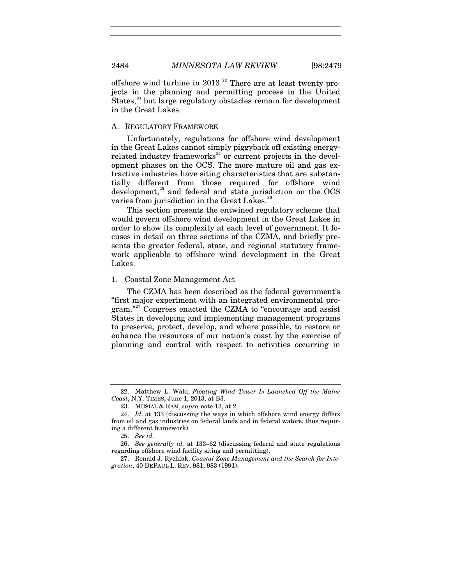offshore wind turbine in  $2013<sup>22</sup>$  $2013<sup>22</sup>$  $2013<sup>22</sup>$  There are at least twenty projects in the planning and permitting process in the United States,<sup>[23](#page-6-1)</sup> but large regulatory obstacles remain for development in the Great Lakes.

#### A. REGULATORY FRAMEWORK

Unfortunately, regulations for offshore wind development in the Great Lakes cannot simply piggyback off existing energyrelated industry frameworks<sup> $24$ </sup> or current projects in the development phases on the OCS. The more mature oil and gas extractive industries have siting characteristics that are substantially different from those required for offshore wind development, $25$  and federal and state jurisdiction on the OCS varies from jurisdiction in the Great Lakes.<sup>[26](#page-6-4)</sup>

This section presents the entwined regulatory scheme that would govern offshore wind development in the Great Lakes in order to show its complexity at each level of government. It focuses in detail on three sections of the CZMA, and briefly presents the greater federal, state, and regional statutory framework applicable to offshore wind development in the Great Lakes.

#### 1. Coastal Zone Management Act

<span id="page-6-6"></span>The CZMA has been described as the federal government's "first major experiment with an integrated environmental pro-gram."<sup>[27](#page-6-5)</sup> Congress enacted the CZMA to "encourage and assist States in developing and implementing management programs to preserve, protect, develop, and where possible, to restore or enhance the resources of our nation's coast by the exercise of planning and control with respect to activities occurring in

<span id="page-6-0"></span><sup>22.</sup> Matthew L. Wald, *Floating Wind Tower Is Launched Off the Maine Coast*, N.Y. TIMES, June 1, 2013, at B3.

<sup>23.</sup> MUSIAL & RAM, *supra* note [13,](#page-3-7) at 2.

<span id="page-6-2"></span><span id="page-6-1"></span><sup>24.</sup> *Id*. at 133 (discussing the ways in which offshore wind energy differs from oil and gas industries on federal lands and in federal waters, thus requiring a different framework).

<sup>25.</sup> *See id.*

<span id="page-6-4"></span><span id="page-6-3"></span><sup>26.</sup> *See generally id.* at 133–62 (discussing federal and state regulations regarding offshore wind facility siting and permitting).

<span id="page-6-5"></span><sup>27.</sup> Ronald J. Rychlak, *Coastal Zone Management and the Search for Integration*, 40 DEPAUL L. REV. 981, 983 (1991).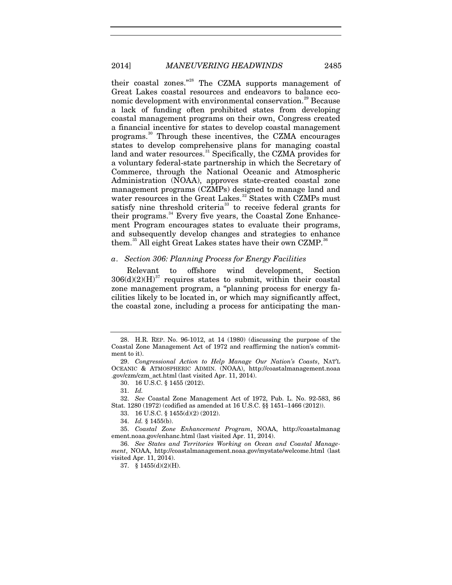their coastal zones."[28](#page-7-0) The CZMA supports management of Great Lakes coastal resources and endeavors to balance eco-nomic development with environmental conservation.<sup>[29](#page-7-1)</sup> Because a lack of funding often prohibited states from developing coastal management programs on their own, Congress created a financial incentive for states to develop coastal management programs.[30](#page-7-2) Through these incentives, the CZMA encourages states to develop comprehensive plans for managing coastal land and water resources.<sup>[31](#page-7-3)</sup> Specifically, the CZMA provides for a voluntary federal-state partnership in which the Secretary of Commerce, through the National Oceanic and Atmospheric Administration (NOAA), approves state-created coastal zone management programs (CZMPs) designed to manage land and water resources in the Great Lakes.<sup>[32](#page-7-4)</sup> States with CZMPs must satisfy nine threshold criteria<sup>[33](#page-7-5)</sup> to receive federal grants for their programs.<sup>[34](#page-7-6)</sup> Every five years, the Coastal Zone Enhancement Program encourages states to evaluate their programs, and subsequently develop changes and strategies to enhance them.<sup>[35](#page-7-7)</sup> All eight Great Lakes states have their own CZMP.<sup>[36](#page-7-8)</sup>

#### <span id="page-7-10"></span>*a*. *Section 306: Planning Process for Energy Facilities*

Relevant to offshore wind development, Section  $306(d)(2)(H)^{37}$  $306(d)(2)(H)^{37}$  $306(d)(2)(H)^{37}$  requires states to submit, within their coastal zone management program, a "planning process for energy facilities likely to be located in, or which may significantly affect, the coastal zone, including a process for anticipating the man-

33. 16 U.S.C. § 1455(d)(2) (2012).

34. *Id.* § 1455(b).

<span id="page-7-0"></span><sup>28.</sup> H.R. REP. No. 96-1012, at 14 (1980) (discussing the purpose of the Coastal Zone Management Act of 1972 and reaffirming the nation's commitment to it).

<span id="page-7-1"></span><sup>29.</sup> *Congressional Action to Help Manage Our Nation's Coasts*, NAT'L OCEANIC & ATMOSPHERIC ADMIN. (NOAA), http://coastalmanagement.noaa .gov/czm/czm\_act.html (last visited Apr. 11, 2014).

<sup>30.</sup> 16 U.S.C. § 1455 (2012).

<sup>31.</sup> *Id.*

<span id="page-7-5"></span><span id="page-7-4"></span><span id="page-7-3"></span><span id="page-7-2"></span><sup>32.</sup> *See* Coastal Zone Management Act of 1972, Pub. L. No. 92-583, 86 Stat. 1280 (1972) (codified as amended at 16 U.S.C. §§ 1451–1466 (2012)).

<span id="page-7-7"></span><span id="page-7-6"></span><sup>35.</sup> *Coastal Zone Enhancement Program*, NOAA, http://coastalmanag ement.noaa.gov/enhanc.html (last visited Apr. 11, 2014).

<span id="page-7-9"></span><span id="page-7-8"></span><sup>36.</sup> *See States and Territories Working on Ocean and Coastal Management*, NOAA, http://coastalmanagement.noaa.gov/mystate/welcome.html (last visited Apr. 11, 2014).

<sup>37.</sup> § 1455(d)(2)(H).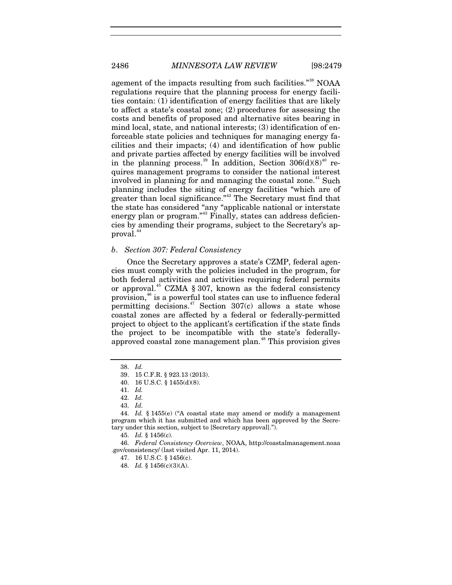agement of the impacts resulting from such facilities."<sup>[38](#page-8-0)</sup> NOAA regulations require that the planning process for energy facilities contain: (1) identification of energy facilities that are likely to affect a state's coastal zone; (2) procedures for assessing the costs and benefits of proposed and alternative sites bearing in mind local, state, and national interests; (3) identification of enforceable state policies and techniques for managing energy facilities and their impacts; (4) and identification of how public and private parties affected by energy facilities will be involved in the planning process.<sup>[39](#page-8-1)</sup> In addition, Section  $306(d)(8)^{40}$  $306(d)(8)^{40}$  $306(d)(8)^{40}$  requires management programs to consider the national interest involved in planning for and managing the coastal zone.<sup>[41](#page-8-3)</sup> Such planning includes the siting of energy facilities "which are of greater than local significance."<sup>[42](#page-8-4)</sup> The Secretary must find that the state has considered "any "applicable national or interstate energy plan or program."<sup>[43](#page-8-5)</sup> Finally, states can address deficiencies by amending their programs, subject to the Secretary's ap-proval.<sup>[44](#page-8-6)</sup>

#### <span id="page-8-12"></span><span id="page-8-11"></span>*b*. *Section 307: Federal Consistency*

Once the Secretary approves a state's CZMP, federal agencies must comply with the policies included in the program, for both federal activities and activities requiring federal permits or approval.<sup>[45](#page-8-7)</sup> CZMA § 307, known as the federal consistency provision,[46](#page-8-8) is a powerful tool states can use to influence federal permitting decisions.<sup>[47](#page-8-9)</sup> Section  $307(c)$  allows a state whose coastal zones are affected by a federal or federally-permitted project to object to the applicant's certification if the state finds the project to be incompatible with the state's federally-approved coastal zone management plan.<sup>[48](#page-8-10)</sup> This provision gives

<sup>38.</sup> *Id.*

<sup>39.</sup> 15 C.F.R. § 923.13 (2013).

<sup>40.</sup> 16 U.S.C. § 1455(d)(8).

<sup>41.</sup> *Id.*

<sup>42.</sup> *Id.*

<sup>43.</sup> *Id.*

<span id="page-8-6"></span><span id="page-8-5"></span><span id="page-8-4"></span><span id="page-8-3"></span><span id="page-8-2"></span><span id="page-8-1"></span><span id="page-8-0"></span><sup>44.</sup> *Id.* § 1455(e) ("A coastal state may amend or modify a management program which it has submitted and which has been approved by the Secretary under this section, subject to [Secretary approval].").

<sup>45.</sup> *Id.* § 1456(c).

<span id="page-8-10"></span><span id="page-8-9"></span><span id="page-8-8"></span><span id="page-8-7"></span><sup>46.</sup> *Federal Consistency Overview*, NOAA, http://coastalmanagement.noaa .gov/consistency/ (last visited Apr. 11, 2014).

<sup>47.</sup> 16 U.S.C. § 1456(c).

<sup>48.</sup> *Id.* § 1456(c)(3)(A).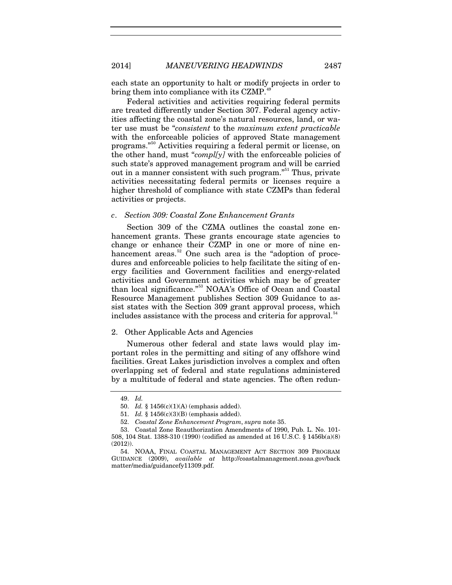each state an opportunity to halt or modify projects in order to bring them into compliance with its CZMP.<sup>4</sup>

Federal activities and activities requiring federal permits are treated differently under Section 307. Federal agency activities affecting the coastal zone's natural resources, land, or water use must be "*consistent* to the *maximum extent practicable* with the enforceable policies of approved State management programs."[50](#page-9-1) Activities requiring a federal permit or license, on the other hand, must "*compl*/y/ with the enforceable policies of such state's approved management program and will be carried out in a manner consistent with such program."<sup>[51](#page-9-2)</sup> Thus, private activities necessitating federal permits or licenses require a higher threshold of compliance with state CZMPs than federal activities or projects.

#### *c*. *Section 309: Coastal Zone Enhancement Grants*

Section 309 of the CZMA outlines the coastal zone enhancement grants. These grants encourage state agencies to change or enhance their CZMP in one or more of nine en-hancement areas.<sup>[52](#page-9-3)</sup> One such area is the "adoption of procedures and enforceable policies to help facilitate the siting of energy facilities and Government facilities and energy-related activities and Government activities which may be of greater than local significance."<sup>[53](#page-9-4)</sup> NOAA's Office of Ocean and Coastal Resource Management publishes Section 309 Guidance to assist states with the Section 309 grant approval process, which includes assistance with the process and criteria for approval.<sup>[54](#page-9-5)</sup>

#### <span id="page-9-6"></span>2. Other Applicable Acts and Agencies

Numerous other federal and state laws would play important roles in the permitting and siting of any offshore wind facilities. Great Lakes jurisdiction involves a complex and often overlapping set of federal and state regulations administered by a multitude of federal and state agencies. The often redun-

<sup>49.</sup> *Id.*

<sup>50.</sup> *Id.* § 1456(c)(1)(A) (emphasis added).

<sup>51.</sup> *Id.* § 1456(c)(3)(B) (emphasis added).

<sup>52.</sup> *Coastal Zone Enhancement Program*, *supra* note [35.](#page-7-10)

<span id="page-9-4"></span><span id="page-9-3"></span><span id="page-9-2"></span><span id="page-9-1"></span><span id="page-9-0"></span><sup>53.</sup> Coastal Zone Reauthorization Amendments of 1990, Pub. L. No. 101- 508, 104 Stat. 1388-310 (1990) (codified as amended at 16 U.S.C. § 1456b(a)(8) (2012)).

<span id="page-9-5"></span><sup>54.</sup> NOAA, FINAL COASTAL MANAGEMENT ACT SECTION 309 PROGRAM GUIDANCE (2009), *available at* http://coastalmanagement.noaa.gov/back matter/media/guidancefy11309.pdf.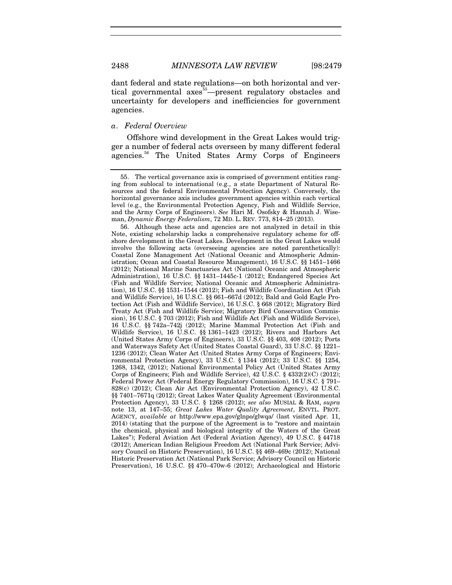dant federal and state regulations—on both horizontal and ver-tical governmental axes<sup>[55](#page-10-0)</sup> present regulatory obstacles and uncertainty for developers and inefficiencies for government agencies.

#### *a*. *Federal Overview*

Offshore wind development in the Great Lakes would trigger a number of federal acts overseen by many different federal agencies.<sup>[56](#page-10-1)</sup> The United States Army Corps of Engineers

<span id="page-10-0"></span><sup>55.</sup> The vertical governance axis is comprised of government entities ranging from sublocal to international (e.g., a state Department of Natural Resources and the federal Environmental Protection Agency). Conversely, the horizontal governance axis includes government agencies within each vertical level (e.g., the Environmental Protection Agency, Fish and Wildlife Service, and the Army Corps of Engineers). *See* Hari M. Osofsky & Hannah J. Wiseman, *Dynamic Energy Federalism*, 72 MD. L. REV. 773, 814–25 (2013).

<span id="page-10-1"></span><sup>56.</sup> Although these acts and agencies are not analyzed in detail in this Note, existing scholarship lacks a comprehensive regulatory scheme for offshore development in the Great Lakes. Development in the Great Lakes would involve the following acts (overseeing agencies are noted parenthetically): Coastal Zone Management Act (National Oceanic and Atmospheric Administration; Ocean and Coastal Resource Management), 16 U.S.C. §§ 1451–1466 (2012); National Marine Sanctuaries Act (National Oceanic and Atmospheric Administration), 16 U.S.C. §§ 1431–1445c-1 (2012); Endangered Species Act (Fish and Wildlife Service; National Oceanic and Atmospheric Administration), 16 U.S.C. §§ 1531–1544 (2012); Fish and Wildlife Coordination Act (Fish and Wildlife Service), 16 U.S.C. §§ 661–667d (2012); Bald and Gold Eagle Protection Act (Fish and Wildlife Service), 16 U.S.C. § 668 (2012); Migratory Bird Treaty Act (Fish and Wildlife Service; Migratory Bird Conservation Commission), 16 U.S.C. § 703 (2012); Fish and Wildlife Act (Fish and Wildlife Service), 16 U.S.C. §§ 742a–742j (2012); Marine Mammal Protection Act (Fish and Wildlife Service), 16 U.S.C. §§ 1361–1423 (2012); Rivers and Harbors Act (United States Army Corps of Engineers), 33 U.S.C. §§ 403, 408 (2012); Ports and Waterways Safety Act (United States Coastal Guard), 33 U.S.C. §§ 1221– 1236 (2012); Clean Water Act (United States Army Corps of Engineers; Environmental Protection Agency), 33 U.S.C. § 1344 (2012); 33 U.S.C. §§ 1254, 1268, 1342, (2012); National Environmental Policy Act (United States Army Corps of Engineers; Fish and Wildlife Service), 42 U.S.C. § 4332(2)(C) (2012); Federal Power Act (Federal Energy Regulatory Commission), 16 U.S.C. § 791– 828(c) (2012); Clean Air Act (Environmental Protection Agency), 42 U.S.C. §§ 7401–7671q (2012); Great Lakes Water Quality Agreement (Environmental Protection Agency), 33 U.S.C. § 1268 (2012); *see also* MUSIAL & RAM, *supra* note [13,](#page-3-7) at 147–55; *Great Lakes Water Quality Agreement*, ENVTL. PROT. AGENCY, *available at* http://www.epa.gov/glnpo/glwqa/ (last visited Apr. 11, 2014) (stating that the purpose of the Agreement is to "restore and maintain the chemical, physical and biological integrity of the Waters of the Great Lakes"); Federal Aviation Act (Federal Aviation Agency), 49 U.S.C. § 44718 (2012); American Indian Religious Freedom Act (National Park Service; Advisory Council on Historic Preservation), 16 U.S.C. §§ 469–469c (2012); National Historic Preservation Act (National Park Service; Advisory Council on Historic Preservation), 16 U.S.C. §§ 470–470w-6 (2012); Archaeological and Historic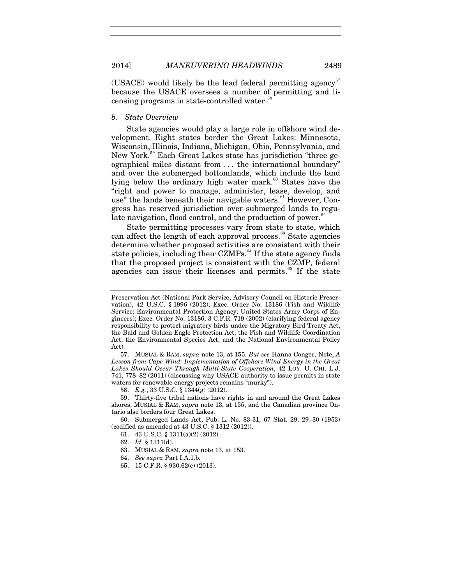(USACE) would likely be the lead federal permitting agency<sup>[57](#page-11-0)</sup> because the USACE oversees a number of permitting and li-censing programs in state-controlled water.<sup>[58](#page-11-1)</sup>

#### *b*. *State Overview*

State agencies would play a large role in offshore wind development. Eight states border the Great Lakes: Minnesota, Wisconsin, Illinois, Indiana, Michigan, Ohio, Pennsylvania, and New York.<sup>[59](#page-11-2)</sup> Each Great Lakes state has jurisdiction "three geographical miles distant from . . . the international boundary" and over the submerged bottomlands, which include the land lying below the ordinary high water mark. $60$  States have the "right and power to manage, administer, lease, develop, and use" the lands beneath their navigable waters.<sup>[61](#page-11-4)</sup> However, Congress has reserved jurisdiction over submerged lands to regu-late navigation, flood control, and the production of power.<sup>[62](#page-11-5)</sup>

State permitting processes vary from state to state, which can affect the length of each approval process.<sup>[63](#page-11-6)</sup> State agencies determine whether proposed activities are consistent with their state policies, including their CZMPs. $^{64}$  $^{64}$  $^{64}$  If the state agency finds that the proposed project is consistent with the CZMP, federal agencies can issue their licenses and permits.<sup>[65](#page-11-8)</sup> If the state

Preservation Act (National Park Service; Advisory Council on Historic Preservation), 42 U.S.C. § 1996 (2012); Exec. Order No. 13186 (Fish and Wildlife Service; Environmental Protection Agency; United States Army Corps of Engineers); Exec. Order No. 13186, 3 C.F.R. 719 (2002) (clarifying federal agency responsibility to protect migratory birds under the Migratory Bird Treaty Act, the Bald and Golden Eagle Protection Act, the Fish and Wildlife Coordination Act, the Environmental Species Act, and the National Environmental Policy Act).

<span id="page-11-0"></span><sup>57.</sup> MUSIAL & RAM, *supra* note [13,](#page-3-7) at 155. *But see* Hanna Conger, Note, *A Lesson from Cape Wind: Implementation of Offshore Wind Energy in the Great Lakes Should Occur Through Multi-State Cooperation*, 42 LOY. U. CHI. L.J. 741, 778–82 (2011) (discussing why USACE authority to issue permits in state waters for renewable energy projects remains "murky").

<sup>58.</sup> *E.g.*, 33 U.S.C. § 1344(g) (2012).

<span id="page-11-2"></span><span id="page-11-1"></span><sup>59.</sup> Thirty-five tribal nations have rights in and around the Great Lakes shores, MUSIAL & RAM, *supra* note [13,](#page-3-7) at 155, and the Canadian province Ontario also borders four Great Lakes.

<span id="page-11-8"></span><span id="page-11-7"></span><span id="page-11-6"></span><span id="page-11-5"></span><span id="page-11-4"></span><span id="page-11-3"></span><sup>60.</sup> Submerged Lands Act, Pub. L. No. 83-31, 67 Stat. 29, 29–30 (1953) (codified as amended at 43 U.S.C. § 1312 (2012)).

<sup>61.</sup> 43 U.S.C. § 1311(a)(2) (2012).

<sup>62.</sup> *Id.* § 1311(d).

<sup>63.</sup> MUSIAL & RAM, *supra* not[e 13,](#page-3-7) at 153.

<sup>64.</sup> *See supra* Part I.A.1.b.

<sup>65.</sup> 15 C.F.R. § 930.62(c) (2013).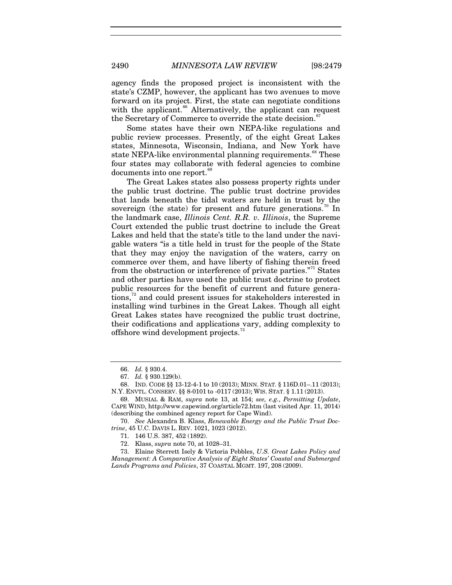<span id="page-12-9"></span><span id="page-12-0"></span>

agency finds the proposed project is inconsistent with the state's CZMP, however, the applicant has two avenues to move forward on its project. First, the state can negotiate conditions with the applicant.<sup>[66](#page-12-1)</sup> Alternatively, the applicant can request the Secretary of Commerce to override the state decision.<sup>[67](#page-12-2)</sup>

Some states have their own NEPA-like regulations and public review processes. Presently, of the eight Great Lakes states, Minnesota, Wisconsin, Indiana, and New York have state NEPA-like environmental planning requirements.<sup>[68](#page-12-3)</sup> These four states may collaborate with federal agencies to combine documents into one report.<sup>[69](#page-12-4)</sup>

<span id="page-12-10"></span>The Great Lakes states also possess property rights under the public trust doctrine. The public trust doctrine provides that lands beneath the tidal waters are held in trust by the sovereign (the state) for present and future generations.<sup>[70](#page-12-5)</sup> In the landmark case, *Illinois Cent. R.R. v. Illinois*, the Supreme Court extended the public trust doctrine to include the Great Lakes and held that the state's title to the land under the navigable waters "is a title held in trust for the people of the State that they may enjoy the navigation of the waters, carry on commerce over them, and have liberty of fishing therein freed from the obstruction or interference of private parties. $^{71}$  $^{71}$  $^{71}$  States and other parties have used the public trust doctrine to protect public resources for the benefit of current and future genera-tions,<sup>[72](#page-12-7)</sup> and could present issues for stakeholders interested in installing wind turbines in the Great Lakes. Though all eight Great Lakes states have recognized the public trust doctrine, their codifications and applications vary, adding complexity to offshore wind development projects.<sup>[73](#page-12-8)</sup>

<span id="page-12-11"></span><sup>66.</sup> *Id.* § 930.4.

<sup>67.</sup> *Id.* § 930.129(b).

<span id="page-12-3"></span><span id="page-12-2"></span><span id="page-12-1"></span><sup>68.</sup> IND. CODE §§ 13-12-4-1 to 10 (2013); MINN. STAT. § 116D.01–.11 (2013); N.Y. ENVTL. CONSERV. §§ 8-0101 to -0117 (2013); WIS. STAT. § 1.11 (2013).

<span id="page-12-4"></span><sup>69.</sup> MUSIAL & RAM, *supra* note [13,](#page-3-7) at 154; *see, e.g.*, *Permitting Update*, CAPE WIND, http://www.capewind.org/article72.htm (last visited Apr. 11, 2014) (describing the combined agency report for Cape Wind).

<span id="page-12-6"></span><span id="page-12-5"></span><sup>70.</sup> *See* Alexandra B. Klass, *Renewable Energy and the Public Trust Doctrine*, 45 U.C. DAVIS L. REV. 1021, 1023 (2012).

<sup>71.</sup> 146 U.S. 387, 452 (1892).

<sup>72.</sup> Klass, *supra* note [70,](#page-12-0) at 1028–31.

<span id="page-12-8"></span><span id="page-12-7"></span><sup>73.</sup> Elaine Sterrett Isely & Victoria Pebbles, *U.S. Great Lakes Policy and Management: A Comparative Analysis of Eight States' Coastal and Submerged Lands Programs and Policies*, 37 COASTAL MGMT. 197, 208 (2009).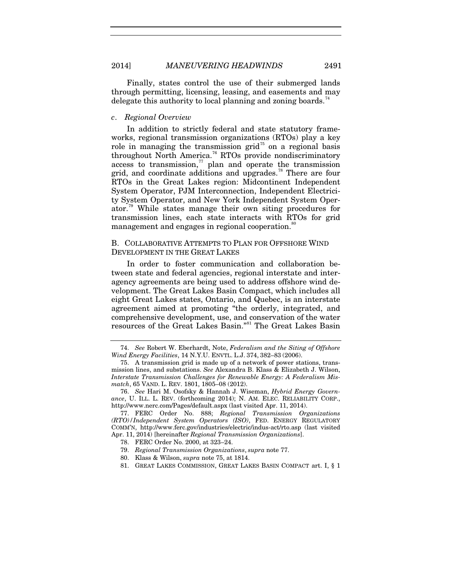#### 2014] *MANEUVERING HEADWINDS* 2491

Finally, states control the use of their submerged lands through permitting, licensing, leasing, and easements and may delegate this authority to local planning and zoning boards.<sup>[74](#page-13-2)</sup>

#### *c*. *Regional Overview*

<span id="page-13-10"></span><span id="page-13-0"></span>In addition to strictly federal and state statutory frameworks, regional transmission organizations (RTOs) play a key role in managing the transmission grid<sup>[75](#page-13-3)</sup> on a regional basis throughout North America.<sup>[76](#page-13-4)</sup> RTOs provide nondiscriminatory  $\alpha$ cess to transmission,<sup>[77](#page-13-5)</sup> plan and operate the transmission grid, and coordinate additions and upgrades.<sup>[78](#page-13-6)</sup> There are four RTOs in the Great Lakes region: Midcontinent Independent System Operator, PJM Interconnection, Independent Electricity System Operator, and New York Independent System Operator.[79](#page-13-7) While states manage their own siting procedures for transmission lines, each state interacts with RTOs for grid management and engages in regional cooperation.<sup>[80](#page-13-8)</sup>

#### <span id="page-13-13"></span>B. COLLABORATIVE ATTEMPTS TO PLAN FOR OFFSHORE WIND DEVELOPMENT IN THE GREAT LAKES

In order to foster communication and collaboration between state and federal agencies, regional interstate and interagency agreements are being used to address offshore wind development. The Great Lakes Basin Compact, which includes all eight Great Lakes states, Ontario, and Quebec, is an interstate agreement aimed at promoting "the orderly, integrated, and comprehensive development, use, and conservation of the water resources of the Great Lakes Basin."<sup>[81](#page-13-9)</sup> The Great Lakes Basin

79. *Regional Transmission Organizations*, *supra* note [77.](#page-13-0)

<span id="page-13-11"></span><span id="page-13-1"></span>

<span id="page-13-12"></span><span id="page-13-2"></span><sup>74.</sup> *See* Robert W. Eberhardt, Note, *Federalism and the Siting of Offshore Wind Energy Facilities*, 14 N.Y.U. ENVTL. L.J. 374, 382–83 (2006).

<span id="page-13-3"></span><sup>75.</sup> A transmission grid is made up of a network of power stations, transmission lines, and substations. *See* Alexandra B. Klass & Elizabeth J. Wilson, *Interstate Transmission Challenges for Renewable Energy: A Federalism Mismatch*, 65 VAND. L. REV. 1801, 1805–08 (2012).

<span id="page-13-4"></span><sup>76.</sup> *See* Hari M. Osofsky & Hannah J. Wiseman, *Hybrid Energy Governance*, U. ILL. L. REV. (forthcoming 2014); N. AM. ELEC. RELIABILITY CORP., http://www.nerc.com/Pages/default.aspx (last visited Apr. 11, 2014).

<span id="page-13-8"></span><span id="page-13-7"></span><span id="page-13-6"></span><span id="page-13-5"></span><sup>77.</sup> FERC Order No. 888; *Regional Transmission Organizations (RTO)/Independent System Operators (ISO)*, FED. ENERGY REGULATORY COMM'N, http://www.ferc.gov/industries/electric/indus-act/rto.asp (last visited Apr. 11, 2014) [hereinafter *Regional Transmission Organizations*].

<sup>78.</sup> FERC Order No. 2000, at 323–24.

<sup>80.</sup> Klass & Wilson, *supra* not[e 75,](#page-13-1) at 1814.

<span id="page-13-9"></span><sup>81.</sup> GREAT LAKES COMMISSION, GREAT LAKES BASIN COMPACT art. I, § 1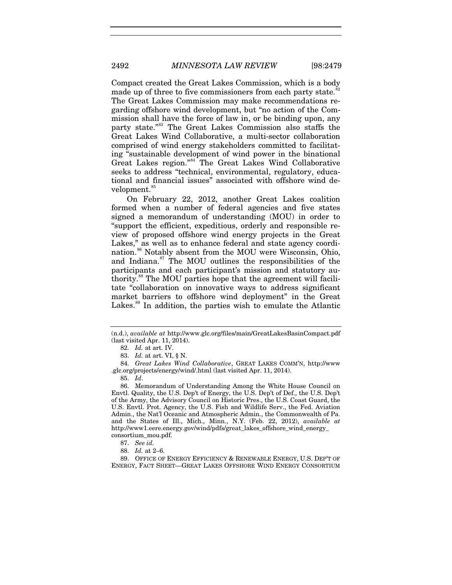Compact created the Great Lakes Commission, which is a body made up of three to five commissioners from each party state.<sup>[82](#page-14-0)</sup> The Great Lakes Commission may make recommendations regarding offshore wind development, but "no action of the Commission shall have the force of law in, or be binding upon, any party state."[83](#page-14-1) The Great Lakes Commission also staffs the Great Lakes Wind Collaborative, a multi-sector collaboration comprised of wind energy stakeholders committed to facilitating "sustainable development of wind power in the binational Great Lakes region."[84](#page-14-2) The Great Lakes Wind Collaborative seeks to address "technical, environmental, regulatory, educational and financial issues" associated with offshore wind de-velopment.<sup>[85](#page-14-3)</sup>

<span id="page-14-9"></span><span id="page-14-8"></span>On February 22, 2012, another Great Lakes coalition formed when a number of federal agencies and five states signed a memorandum of understanding (MOU) in order to "support the efficient, expeditious, orderly and responsible review of proposed offshore wind energy projects in the Great Lakes," as well as to enhance federal and state agency coordi-nation.<sup>[86](#page-14-4)</sup> Notably absent from the MOU were Wisconsin, Ohio, and Indiana.<sup>[87](#page-14-5)</sup> The MOU outlines the responsibilities of the participants and each participant's mission and statutory au-thority.<sup>[88](#page-14-6)</sup> The MOU parties hope that the agreement will facilitate "collaboration on innovative ways to address significant market barriers to offshore wind deployment" in the Great Lakes.<sup>[89](#page-14-7)</sup> In addition, the parties wish to emulate the Atlantic

<span id="page-14-0"></span><sup>(</sup>n.d.), *available at* http://www.glc.org/files/main/GreatLakesBasinCompact.pdf (last visited Apr. 11, 2014).

<sup>82.</sup> *Id.* at art. IV.

<sup>83.</sup> *Id.* at art. VI, § N.

<span id="page-14-2"></span><span id="page-14-1"></span><sup>84.</sup> *Great Lakes Wind Collaborative*, GREAT LAKES COMM'N, http://www .glc.org/projects/energy/wind/.html (last visited Apr. 11, 2014).

<sup>85.</sup> *Id*.

<span id="page-14-4"></span><span id="page-14-3"></span><sup>86.</sup> Memorandum of Understanding Among the White House Council on Envtl. Quality, the U.S. Dep't of Energy, the U.S. Dep't of Def., the U.S. Dep't of the Army, the Advisory Council on Historic Pres., the U.S. Coast Guard, the U.S. Envtl. Prot. Agency, the U.S. Fish and Wildlife Serv., the Fed. Aviation Admin., the Nat'l Oceanic and Atmospheric Admin., the Commonwealth of Pa. and the States of Ill., Mich., Minn., N.Y. (Feb. 22, 2012), *available at* http://www1.eere.energy.gov/wind/pdfs/great\_lakes\_offshore\_wind\_energy\_ consortium\_mou.pdf.

<sup>87.</sup> *See id.*

<sup>88.</sup> *Id.* at 2–6.

<span id="page-14-7"></span><span id="page-14-6"></span><span id="page-14-5"></span><sup>89.</sup> OFFICE OF ENERGY EFFICIENCY & RENEWABLE ENERGY, U.S. DEP'T OF ENERGY, FACT SHEET—GREAT LAKES OFFSHORE WIND ENERGY CONSORTIUM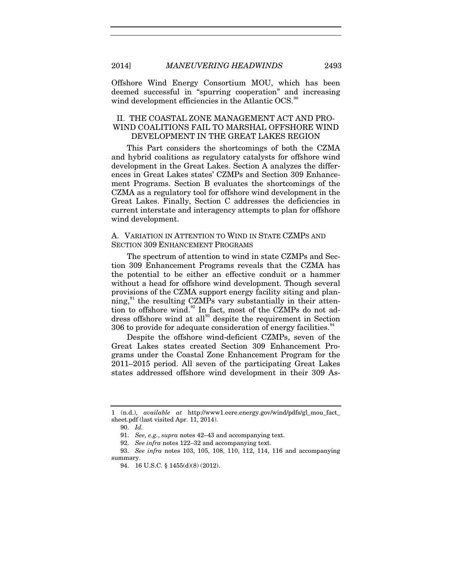Offshore Wind Energy Consortium MOU, which has been deemed successful in "spurring cooperation" and increasing wind development efficiencies in the Atlantic OCS.<sup>[90](#page-15-0)</sup>

#### II. THE COASTAL ZONE MANAGEMENT ACT AND PRO-WIND COALITIONS FAIL TO MARSHAL OFFSHORE WIND DEVELOPMENT IN THE GREAT LAKES REGION

This Part considers the shortcomings of both the CZMA and hybrid coalitions as regulatory catalysts for offshore wind development in the Great Lakes. Section A analyzes the differences in Great Lakes states' CZMPs and Section 309 Enhancement Programs. Section B evaluates the shortcomings of the CZMA as a regulatory tool for offshore wind development in the Great Lakes. Finally, Section C addresses the deficiencies in current interstate and interagency attempts to plan for offshore wind development.

#### A. VARIATION IN ATTENTION TO WIND IN STATE CZMPS AND SECTION 309 ENHANCEMENT PROGRAMS

The spectrum of attention to wind in state CZMPs and Section 309 Enhancement Programs reveals that the CZMA has the potential to be either an effective conduit or a hammer without a head for offshore wind development. Though several provisions of the CZMA support energy facility siting and planning, $91$ <sup>the</sup> resulting CZMPs vary substantially in their atten-tion to offshore wind.<sup>[92](#page-15-2)</sup> In fact, most of the CZMPs do not ad-dress offshore wind at all<sup>[93](#page-15-3)</sup> despite the requirement in Section 306 to provide for adequate consideration of energy facilities.<sup>[94](#page-15-4)</sup>

Despite the offshore wind-deficient CZMPs, seven of the Great Lakes states created Section 309 Enhancement Programs under the Coastal Zone Enhancement Program for the 2011–2015 period. All seven of the participating Great Lakes states addressed offshore wind development in their 309 As-

<span id="page-15-0"></span><sup>1 (</sup>n.d.), *available at* http://www1.eere.energy.gov/wind/pdfs/gl\_mou\_fact\_ sheet.pdf (last visited Apr. 11, 2014).

<sup>90.</sup> *Id.*

<sup>91.</sup> *See, e.g.*, *supra* notes [42–](#page-8-11)[43](#page-8-12) and accompanying text.

<sup>92.</sup> *See infra* note[s 122–](#page-19-0)32 and accompanying text.

<span id="page-15-4"></span><span id="page-15-3"></span><span id="page-15-2"></span><span id="page-15-1"></span><sup>93.</sup> *See infra* notes [103,](#page-17-0) [105,](#page-17-1) [108,](#page-17-2) [110,](#page-18-0) [112,](#page-18-1) [114,](#page-18-2) [116](#page-18-3) and accompanying summary.

<sup>94.</sup> 16 U.S.C. § 1455(d)(8) (2012).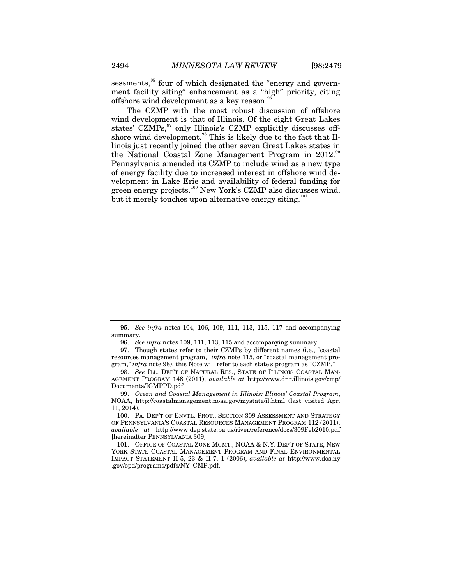sessments,<sup>[95](#page-16-1)</sup> four of which designated the "energy and government facility siting" enhancement as a "high" priority, citing offshore wind development as a key reason.

<span id="page-16-10"></span><span id="page-16-9"></span><span id="page-16-8"></span><span id="page-16-0"></span>The CZMP with the most robust discussion of offshore wind development is that of Illinois. Of the eight Great Lakes states' CZMPs,<sup>[97](#page-16-3)</sup> only Illinois's CZMP explicitly discusses offshore wind development. $\frac{98}{100}$  $\frac{98}{100}$  $\frac{98}{100}$  This is likely due to the fact that IIlinois just recently joined the other seven Great Lakes states in the National Coastal Zone Management Program in 2012.<sup>[99](#page-16-5)</sup> Pennsylvania amended its CZMP to include wind as a new type of energy facility due to increased interest in offshore wind development in Lake Erie and availability of federal funding for green energy projects.<sup>[100](#page-16-6)</sup> New York's CZMP also discusses wind, but it merely touches upon alternative energy siting.<sup>[101](#page-16-7)</sup>

<span id="page-16-1"></span><sup>95.</sup> *See infra* notes [104,](#page-17-3) [106,](#page-17-4) [109,](#page-17-5) [111,](#page-18-4) [113,](#page-18-5) [115,](#page-18-6) [117](#page-18-7) and accompanying summary.

<sup>96.</sup> *See infra* note[s 109,](#page-17-5) [111,](#page-18-4) [113,](#page-18-5) [115](#page-18-6) and accompanying summary.

<span id="page-16-3"></span><span id="page-16-2"></span><sup>97.</sup> Though states refer to their CZMPs by different names (i.e., "coastal resources management program," *infra* note [115,](#page-18-6) or "coastal management program," *infra* note [98\)](#page-16-0), this Note will refer to each state's program as "CZMP."

<span id="page-16-4"></span><sup>98.</sup> *See* ILL. DEP'T OF NATURAL RES., STATE OF ILLINOIS COASTAL MAN-AGEMENT PROGRAM 148 (2011), *available at* http://www.dnr.illinois.gov/cmp/ Documents/ICMPPD.pdf.

<span id="page-16-5"></span><sup>99.</sup> *Ocean and Coastal Management in Illinois: Illinois' Coastal Program*, NOAA, http://coastalmanagement.noaa.gov/mystate/il.html (last visited Apr. 11, 2014).

<span id="page-16-6"></span><sup>100.</sup> PA. DEP'T OF ENVTL. PROT., SECTION 309 ASSESSMENT AND STRATEGY OF PENNSYLVANIA'S COASTAL RESOURCES MANAGEMENT PROGRAM 112 (2011), *available at* http://www.dep.state.pa.us/river/reference/docs/309Feb2010.pdf [hereinafter PENNSYLVANIA 309].

<span id="page-16-7"></span><sup>101.</sup> OFFICE OF COASTAL ZONE MGMT., NOAA & N.Y. DEP'T OF STATE, NEW YORK STATE COASTAL MANAGEMENT PROGRAM AND FINAL ENVIRONMENTAL IMPACT STATEMENT II-5, 23 & II-7, 1 (2006), *available at* http://www.dos.ny .gov/opd/programs/pdfs/NY\_CMP.pdf.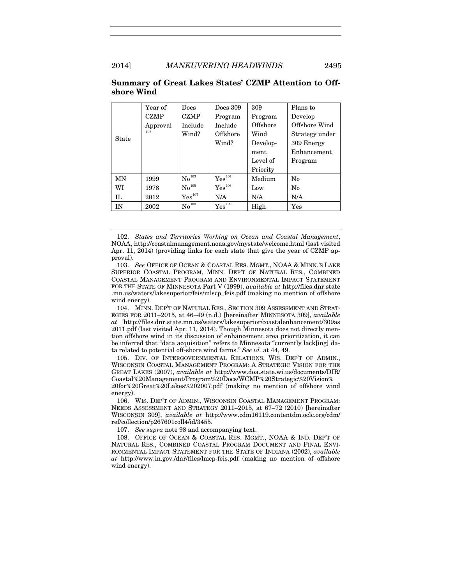#### 2014] *MANEUVERING HEADWINDS* 2495

<span id="page-17-14"></span>

|              | Year of     | Does                                   | Does $309$        | 309      | Plans to       |
|--------------|-------------|----------------------------------------|-------------------|----------|----------------|
| <b>State</b> | <b>CZMP</b> | <b>CZMP</b>                            | Program           | Program  | Develop        |
|              | Approval    | Include                                | Include           | Offshore | Offshore Wind  |
|              | 102         | Wind?                                  | Offshore          | Wind     | Strategy under |
|              |             |                                        | Wind?             | Develop- | 309 Energy     |
|              |             |                                        |                   | ment     | Enhancement    |
|              |             |                                        |                   | Level of | Program        |
|              |             |                                        |                   | Priority |                |
| MN           | 1999        | $\mathrm{No}^{\scriptscriptstyle 103}$ | ${\rm Yes}^{104}$ | Medium   | No             |
| WI           | 1978        | $\mathrm{No}^{\scriptscriptstyle 105}$ | ${\rm Yes}^{106}$ | Low      | $\rm No$       |
| IL           | 2012        | $\mathrm{Yes}^{107}$                   | N/A               | N/A      | N/A            |
| IN           | 2002        | $\mathrm{No}^{108}$                    | ${\rm Yes}^{109}$ | High     | $\rm Yes$      |

#### **Summary of Great Lakes States' CZMP Attention to Offshore Wind**

<span id="page-17-13"></span><span id="page-17-6"></span><span id="page-17-5"></span><span id="page-17-4"></span><span id="page-17-3"></span><span id="page-17-2"></span><span id="page-17-1"></span><span id="page-17-0"></span>102. *States and Territories Working on Ocean and Coastal Management*, NOAA, http://coastalmanagement.noaa.gov/mystate/welcome.html (last visited Apr. 11, 2014) (providing links for each state that give the year of CZMP approval).

<span id="page-17-7"></span>103. *See* OFFICE OF OCEAN & COASTAL RES. MGMT., NOAA & MINN.'S LAKE SUPERIOR COASTAL PROGRAM, MINN. DEP'T OF NATURAL RES., COMBINED COASTAL MANAGEMENT PROGRAM AND ENVIRONMENTAL IMPACT STATEMENT FOR THE STATE OF MINNESOTA Part V (1999), *available at* http://files.dnr.state .mn.us/waters/lakesuperior/feis/mlscp\_feis.pdf (making no mention of offshore wind energy).

<span id="page-17-8"></span>104. MINN. DEP'T OF NATURAL RES., SECTION 309 ASSESSMENT AND STRAT-EGIES FOR 2011–2015, at 46–49 (n.d.) [hereinafter MINNESOTA 309], *available at* http://files.dnr.state.mn.us/waters/lakesuperior/coastalenhancement/309as 2011.pdf (last visited Apr. 11, 2014). Though Minnesota does not directly mention offshore wind in its discussion of enhancement area prioritization, it can be inferred that "data acquisition" refers to Minnesota "currently lack[ing] data related to potential off-shore wind farms." *See id.* at 44, 49.

<span id="page-17-9"></span>105. DIV. OF INTERGOVERNMENTAL RELATIONS, WIS. DEP'T OF ADMIN., WISCONSIN COASTAL MANAGEMENT PROGRAM: A STRATEGIC VISION FOR THE GREAT LAKES (2007), *available at* http://www.doa.state.wi.us/documents/DIR/ Coastal%20Management/Program%20Docs/WCMP%20Strategic%20Vision% 20for%20Great%20Lakes%202007.pdf (making no mention of offshore wind energy).

<span id="page-17-10"></span>106. WIS. DEP'T OF ADMIN., WISCONSIN COASTAL MANAGEMENT PROGRAM: NEEDS ASSESSMENT AND STRATEGY 2011–2015, at 67–72 (2010) [hereinafter WISCONSIN 309], *available at* http://www.cdm16119.contentdm.oclc.org/cdm/ ref/collection/p267601coll4/id/3455.

107. *See supra* note [98](#page-16-0) and accompanying text.

<span id="page-17-12"></span><span id="page-17-11"></span>108. OFFICE OF OCEAN & COASTAL RES. MGMT., NOAA & IND. DEP'T OF NATURAL RES., COMBINED COASTAL PROGRAM DOCUMENT AND FINAL ENVI-RONMENTAL IMPACT STATEMENT FOR THE STATE OF INDIANA (2002), *available at* http://www.in.gov./dnr/files/lmcp-feis.pdf (making no mention of offshore wind energy).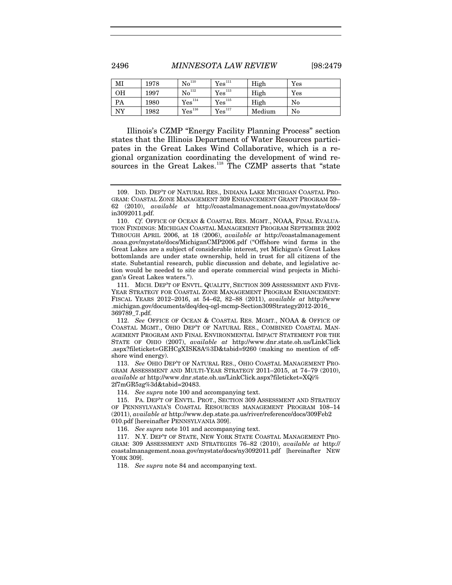<span id="page-18-0"></span>2496 *MINNESOTA LAW REVIEW* [98:2479

<span id="page-18-7"></span><span id="page-18-6"></span><span id="page-18-5"></span><span id="page-18-4"></span>

<span id="page-18-2"></span><span id="page-18-1"></span>

| MI | 1978 | $\mathrm{No}^{\scriptscriptstyle 110}$ | Yes <sup>111</sup> | High   | Yes |
|----|------|----------------------------------------|--------------------|--------|-----|
| OН | 1997 | $\mathrm{No}^{\scriptscriptstyle 112}$ | Yes <sup>113</sup> | High   | Yes |
| PA | 1980 | Yes <sup>114</sup>                     | ${\rm Yes}^{115}$  | High   | No  |
| NY | 1982 | Yes <sup>116</sup>                     | ${\rm Yes}^{117}$  | Medium | No  |

<span id="page-18-3"></span>Illinois's CZMP "Energy Facility Planning Process" section states that the Illinois Department of Water Resources participates in the Great Lakes Wind Collaborative, which is a regional organization coordinating the development of wind re-sources in the Great Lakes.<sup>[118](#page-18-16)</sup> The CZMP asserts that "state

<span id="page-18-9"></span>111. MICH. DEP'T OF ENVTL. QUALITY, SECTION 309 ASSESSMENT AND FIVE-YEAR STRATEGY FOR COASTAL ZONE MANAGEMENT PROGRAM ENHANCEMENT: FISCAL YEARS 2012–2016, at 54–62, 82–88 (2011), *available at* http://www .michigan.gov/documents/deq/deq-ogl-mcmp-Section309Strategy2012-2016\_ 369789\_7.pdf.

<span id="page-18-10"></span>112. *See* OFFICE OF OCEAN & COASTAL RES. MGMT., NOAA & OFFICE OF COASTAL MGMT., OHIO DEP'T OF NATURAL RES., COMBINED COASTAL MAN-AGEMENT PROGRAM AND FINAL ENVIRONMENTAL IMPACT STATEMENT FOR THE STATE OF OHIO (2007), *available at* http://www.dnr.state.oh.us/LinkClick .aspx?fileticket=GEHCgXISK8A%3D&tabid=9260 (making no mention of offshore wind energy).

<span id="page-18-11"></span>113. *See* OHIO DEP'T OF NATURAL RES., OHIO COASTAL MANAGEMENT PRO-GRAM ASSESSMENT AND MULTI-YEAR STRATEGY 2011–2015, at 74–79 (2010), *available at* http://www.dnr.state.oh.us/LinkClick.aspx?fileticket=XQi% 2f7mGR5zg%3d&tabid=20483.

114. *See supra* note [100](#page-16-8) and accompanying text.

<span id="page-18-13"></span><span id="page-18-12"></span>115. PA. DEP'T OF ENVTL. PROT., SECTION 309 ASSESSMENT AND STRATEGY OF PENNSYLVANIA'S COASTAL RESOURCES MANAGEMENT PROGRAM 108–14 (2011), *available at* http://www.dep.state.pa.us/river/reference/docs/309Feb2 010.pdf [hereinafter PENNSYLVANIA 309].

116. *See supra* note [101](#page-16-9) and accompanying text.

<span id="page-18-16"></span><span id="page-18-15"></span><span id="page-18-14"></span>117. N.Y. DEP'T OF STATE, NEW YORK STATE COASTAL MANAGEMENT PRO-GRAM: 309 ASSESSMENT AND STRATEGIES 76–82 (2010), *available at* http:// coastalmanagement.noaa.gov/mystate/docs/ny3092011.pdf [hereinafter NEW YORK 309].

118. *See supra* note [84](#page-14-8) and accompanying text.

<sup>109.</sup> IND. DEP'T OF NATURAL RES., INDIANA LAKE MICHIGAN COASTAL PRO-GRAM: COASTAL ZONE MANAGEMENT 309 ENHANCEMENT GRANT PROGRAM 59– 62 (2010), *available at* http://coastalmanagement.noaa.gov/mystate/docs/ in3092011.pdf.

<span id="page-18-8"></span><sup>110.</sup> *Cf.* OFFICE OF OCEAN & COASTAL RES. MGMT., NOAA, FINAL EVALUA-TION FINDINGS: MICHIGAN COASTAL MANAGEMENT PROGRAM SEPTEMBER 2002 THROUGH APRIL 2006, at 18 (2006), *available at* http://coastalmanagement .noaa.gov/mystate/docs/MichiganCMP2006.pdf ("Offshore wind farms in the Great Lakes are a subject of considerable interest, yet Michigan's Great Lakes bottomlands are under state ownership, held in trust for all citizens of the state. Substantial research, public discussion and debate, and legislative action would be needed to site and operate commercial wind projects in Michigan's Great Lakes waters.").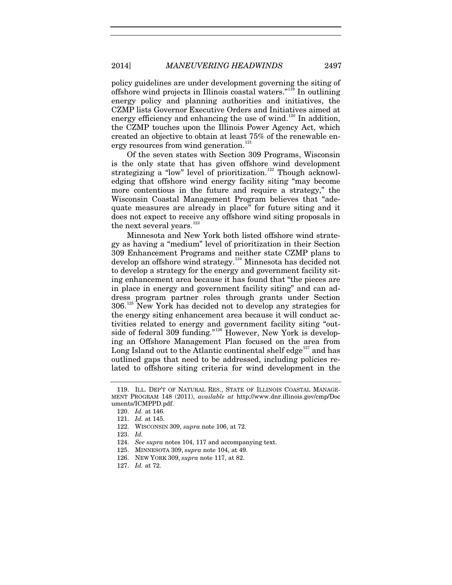2014] *MANEUVERING HEADWINDS* 2497

policy guidelines are under development governing the siting of offshore wind projects in Illinois coastal waters."[119](#page-19-1) In outlining energy policy and planning authorities and initiatives, the CZMP lists Governor Executive Orders and Initiatives aimed at energy efficiency and enhancing the use of wind. $120$  In addition, the CZMP touches upon the Illinois Power Agency Act, which created an objective to obtain at least 75% of the renewable en-ergy resources from wind generation.<sup>[121](#page-19-3)</sup>

Of the seven states with Section 309 Programs, Wisconsin is the only state that has given offshore wind development strategizing a "low" level of prioritization.<sup>[122](#page-19-4)</sup> Though acknowledging that offshore wind energy facility siting "may become more contentious in the future and require a strategy," the Wisconsin Coastal Management Program believes that "adequate measures are already in place" for future siting and it does not expect to receive any offshore wind siting proposals in the next several years. $123$ 

Minnesota and New York both listed offshore wind strategy as having a "medium" level of prioritization in their Section 309 Enhancement Programs and neither state CZMP plans to develop an offshore wind strategy.[124](#page-19-6) Minnesota has decided not to develop a strategy for the energy and government facility siting enhancement area because it has found that "the pieces are in place in energy and government facility siting" and can address program partner roles through grants under Section  $306.<sup>125</sup>$  $306.<sup>125</sup>$  $306.<sup>125</sup>$  New York has decided not to develop any strategies for the energy siting enhancement area because it will conduct activities related to energy and government facility siting "out-side of federal 309 funding."<sup>[126](#page-19-8)</sup> However, New York is developing an Offshore Management Plan focused on the area from Long Island out to the Atlantic continental shelf edge<sup>[127](#page-19-9)</sup> and has outlined gaps that need to be addressed, including policies related to offshore siting criteria for wind development in the

<span id="page-19-0"></span>

<span id="page-19-3"></span><span id="page-19-2"></span><span id="page-19-1"></span><sup>119.</sup> ILL. DEP'T OF NATURAL RES., STATE OF ILLINOIS COASTAL MANAGE-MENT PROGRAM 148 (2011), *available at* http://www.dnr.illinois.gov/cmp/Doc uments/ICMPPD.pdf.

<sup>120.</sup> *Id.* at 146.

<sup>121.</sup> *Id.* at 145.

<sup>122.</sup> WISCONSIN 309, *supra* note [106,](#page-17-4) at 72.

<span id="page-19-6"></span><span id="page-19-5"></span><span id="page-19-4"></span><sup>123.</sup> *Id.*

<sup>124.</sup> *See supra* note[s 104,](#page-17-3) [117](#page-18-7) and accompanying text.

<span id="page-19-7"></span><sup>125.</sup> MINNESOTA 309, *supra* not[e 104,](#page-17-3) at 49.

<span id="page-19-8"></span><sup>126.</sup> NEW YORK 309, *supra* not[e 117,](#page-18-7) at 82.

<span id="page-19-9"></span><sup>127.</sup> *Id.* at 72.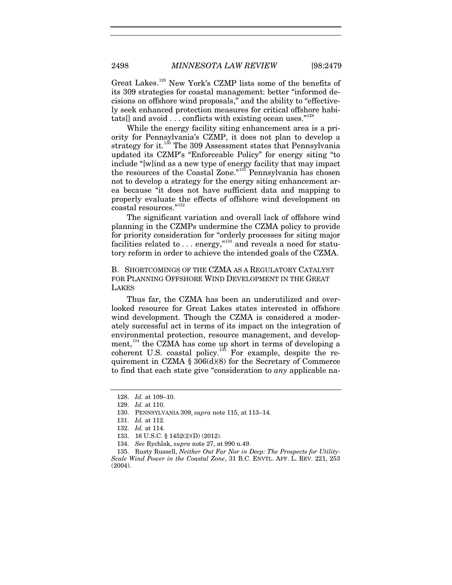Great Lakes.[128](#page-20-0) New York's CZMP lists some of the benefits of its 309 strategies for coastal management: better "informed decisions on offshore wind proposals," and the ability to "effectively seek enhanced protection measures for critical offshore habitats[] and avoid  $\dots$  conflicts with existing ocean uses."<sup>[129](#page-20-1)</sup>

While the energy facility siting enhancement area is a priority for Pennsylvania's CZMP, it does not plan to develop a strategy for it.<sup>[130](#page-20-2)</sup> The 309 Assessment states that Pennsylvania updated its CZMP's "Enforceable Policy" for energy siting "to include "[w]ind as a new type of energy facility that may impact the resources of the Coastal Zone."<sup>[131](#page-20-3)</sup> Pennsylvania has chosen not to develop a strategy for the energy siting enhancement area because "it does not have sufficient data and mapping to properly evaluate the effects of offshore wind development on coastal resources."[132](#page-20-4)

The significant variation and overall lack of offshore wind planning in the CZMPs undermine the CZMA policy to provide for priority consideration for "orderly processes for siting major facilities related to  $\ldots$  energy,"<sup>[133](#page-20-5)</sup> and reveals a need for statutory reform in order to achieve the intended goals of the CZMA.

B. SHORTCOMINGS OF THE CZMA AS A REGULATORY CATALYST FOR PLANNING OFFSHORE WIND DEVELOPMENT IN THE GREAT LAKES

Thus far, the CZMA has been an underutilized and overlooked resource for Great Lakes states interested in offshore wind development. Though the CZMA is considered a moderately successful act in terms of its impact on the integration of environmental protection, resource management, and development,  $134$  the CZMA has come up short in terms of developing a coherent U.S. coastal policy. $135$  For example, despite the requirement in CZMA  $\S 306(d)(8)$  for the Secretary of Commerce to find that each state give "consideration to *any* applicable na-

<span id="page-20-8"></span><sup>128.</sup> *Id.* at 109–10.

<span id="page-20-1"></span><span id="page-20-0"></span><sup>129.</sup> *Id.* at 110.

<span id="page-20-2"></span><sup>130.</sup> PENNSYLVANIA 309, *supra* not[e 115,](#page-18-6) at 113–14.

<sup>131.</sup> *Id.* at 112.

<sup>132.</sup> *Id.* at 114.

<sup>133.</sup> 16 U.S.C. § 1452(2)(D) (2012).

<sup>134.</sup> *See* Rychlak, *supra* not[e 27,](#page-6-6) at 990 n.49.

<span id="page-20-7"></span><span id="page-20-6"></span><span id="page-20-5"></span><span id="page-20-4"></span><span id="page-20-3"></span><sup>135.</sup> Rusty Russell, *Neither Out Far Nor in Deep: The Prospects for Utility-Scale Wind Power in the Coastal Zone*, 31 B.C. ENVTL. AFF. L. REV. 221, 253 (2004).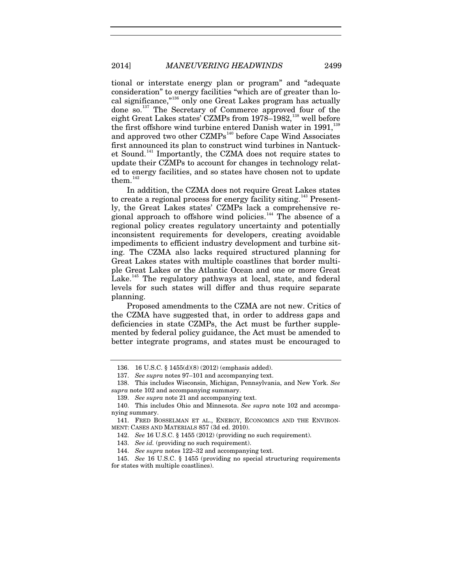tional or interstate energy plan or program" and "adequate consideration" to energy facilities "which are of greater than local significance,"[136](#page-21-0) only one Great Lakes program has actually done so.[137](#page-21-1) The Secretary of Commerce approved four of the eight Great Lakes states' CZMPs from 1978–1982,<sup>[138](#page-21-2)</sup> well before the first offshore wind turbine entered Danish water in  $1991$ <sup>[139](#page-21-3)</sup> and approved two other CZMPs<sup>[140](#page-21-4)</sup> before Cape Wind Associates first announced its plan to construct wind turbines in Nantucket Sound.[141](#page-21-5) Importantly, the CZMA does not require states to update their CZMPs to account for changes in technology related to energy facilities, and so states have chosen not to update them. $142$ 

In addition, the CZMA does not require Great Lakes states to create a regional process for energy facility siting.<sup>[143](#page-21-7)</sup> Presently, the Great Lakes states' CZMPs lack a comprehensive re-gional approach to offshore wind policies.<sup>[144](#page-21-8)</sup> The absence of a regional policy creates regulatory uncertainty and potentially inconsistent requirements for developers, creating avoidable impediments to efficient industry development and turbine siting. The CZMA also lacks required structured planning for Great Lakes states with multiple coastlines that border multiple Great Lakes or the Atlantic Ocean and one or more Great Lake.<sup>[145](#page-21-9)</sup> The regulatory pathways at local, state, and federal levels for such states will differ and thus require separate planning.

Proposed amendments to the CZMA are not new. Critics of the CZMA have suggested that, in order to address gaps and deficiencies in state CZMPs, the Act must be further supplemented by federal policy guidance, the Act must be amended to better integrate programs, and states must be encouraged to

<sup>136.</sup> 16 U.S.C. § 1455(d)(8) (2012) (emphasis added).

<sup>137.</sup> *See supra* note[s 97](#page-16-10)[–101](#page-16-9) and accompanying text.

<span id="page-21-2"></span><span id="page-21-1"></span><span id="page-21-0"></span><sup>138.</sup> This includes Wisconsin, Michigan, Pennsylvania, and New York. *See supra* note [102](#page-17-14) and accompanying summary.

<sup>139.</sup> *See supra* note [21](#page-5-6) and accompanying text.

<span id="page-21-4"></span><span id="page-21-3"></span><sup>140.</sup> This includes Ohio and Minnesota. *See supra* note [102](#page-17-14) and accompanying summary.

<span id="page-21-6"></span><span id="page-21-5"></span><sup>141.</sup> FRED BOSSELMAN ET AL., ENERGY, ECONOMICS AND THE ENVIRON-MENT: CASES AND MATERIALS 857 (3d ed. 2010).

<sup>142.</sup> *See* 16 U.S.C. § 1455 (2012) (providing no such requirement).

<sup>143.</sup> *See id.* (providing no such requirement).

<sup>144.</sup> *See supra* note[s 122–](#page-19-0)32 and accompanying text.

<span id="page-21-9"></span><span id="page-21-8"></span><span id="page-21-7"></span><sup>145.</sup> *See* 16 U.S.C. § 1455 (providing no special structuring requirements for states with multiple coastlines).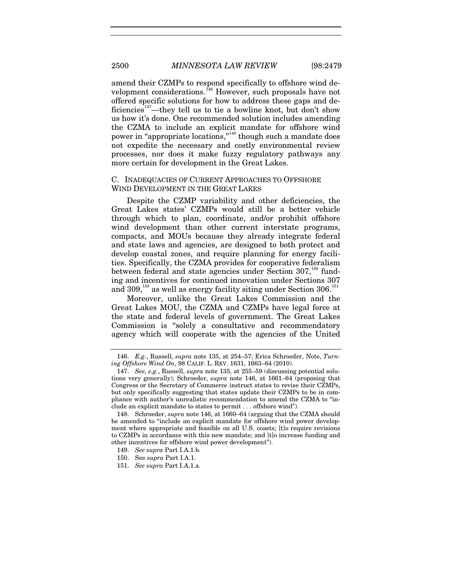<span id="page-22-0"></span>amend their CZMPs to respond specifically to offshore wind de-velopment considerations.<sup>[146](#page-22-1)</sup> However, such proposals have not offered specific solutions for how to address these gaps and de-ficiencies<sup>[147](#page-22-2)</sup>—they tell us to tie a bowline knot, but don't show us how it's done. One recommended solution includes amending the CZMA to include an explicit mandate for offshore wind power in "appropriate locations,"<sup>[148](#page-22-3)</sup> though such a mandate does not expedite the necessary and costly environmental review processes, nor does it make fuzzy regulatory pathways any more certain for development in the Great Lakes.

#### C. INADEQUACIES OF CURRENT APPROACHES TO OFFSHORE WIND DEVELOPMENT IN THE GREAT LAKES

Despite the CZMP variability and other deficiencies, the Great Lakes states' CZMPs would still be a better vehicle through which to plan, coordinate, and/or prohibit offshore wind development than other current interstate programs, compacts, and MOUs because they already integrate federal and state laws and agencies, are designed to both protect and develop coastal zones, and require planning for energy facilities. Specifically, the CZMA provides for cooperative federalism between federal and state agencies under Section 307,<sup>[149](#page-22-4)</sup> funding and incentives for continued innovation under Sections 307 and  $309<sub>150</sub>$  $309<sub>150</sub>$  $309<sub>150</sub>$  as well as energy facility siting under Section  $306<sub>151</sub>$  $306<sub>151</sub>$  $306<sub>151</sub>$ 

Moreover, unlike the Great Lakes Commission and the Great Lakes MOU, the CZMA and CZMPs have legal force at the state and federal levels of government. The Great Lakes Commission is "solely a consultative and recommendatory agency which will cooperate with the agencies of the United

<span id="page-22-1"></span><sup>146.</sup> *E.g.*, Russell, *supra* note [135,](#page-20-8) at 254–57; Erica Schroeder, Note, *Turning Offshore Wind On*, 98 CALIF. L. REV. 1631, 1663–64 (2010).

<span id="page-22-2"></span><sup>147.</sup> *See, e.g.*, Russell, *supra* not[e 135,](#page-20-8) at 255–59 (discussing potential solutions very generally); Schroeder, *supra* note [146,](#page-22-0) at 1661–64 (proposing that Congress or the Secretary of Commerce instruct states to revise their CZMPs, but only specifically suggesting that states update their CZMPs to be in compliance with author's unrealistic recommendation to amend the CZMA to "include an explicit mandate to states to permit . . . offshore wind").

<span id="page-22-3"></span><sup>148.</sup> Schroeder, *supra* not[e 146,](#page-22-0) at 1660–64 (arguing that the CZMA should be amended to "include an explicit mandate for offshore wind power development where appropriate and feasible on all U.S. coasts; [t]o require revisions to CZMPs in accordance with this new mandate; and [t]o increase funding and other incentives for offshore wind power development").

<span id="page-22-4"></span><sup>149.</sup> *See supra* Part I.A.1.b.

<span id="page-22-5"></span><sup>150.</sup> See *supra* Part I.A.1.

<span id="page-22-6"></span><sup>151.</sup> *See supra* Part I.A.1.a.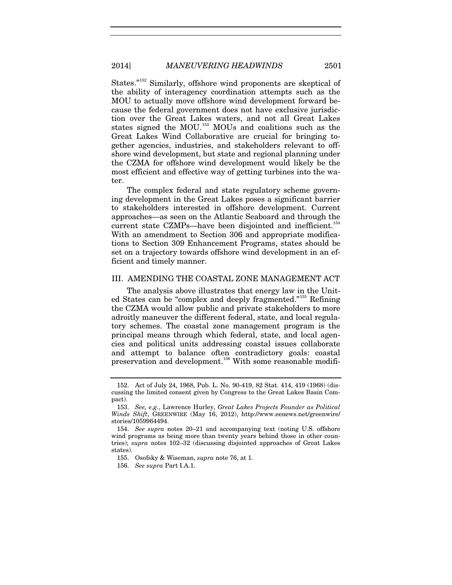<span id="page-23-5"></span>States."<sup>[152](#page-23-0)</sup> Similarly, offshore wind proponents are skeptical of the ability of interagency coordination attempts such as the MOU to actually move offshore wind development forward because the federal government does not have exclusive jurisdiction over the Great Lakes waters, and not all Great Lakes states signed the MOU.<sup>[153](#page-23-1)</sup> MOUs and coalitions such as the Great Lakes Wind Collaborative are crucial for bringing together agencies, industries, and stakeholders relevant to offshore wind development, but state and regional planning under the CZMA for offshore wind development would likely be the most efficient and effective way of getting turbines into the water.

The complex federal and state regulatory scheme governing development in the Great Lakes poses a significant barrier to stakeholders interested in offshore development. Current approaches—as seen on the Atlantic Seaboard and through the current state CZMPs-have been disjointed and inefficient.<sup>[154](#page-23-2)</sup> With an amendment to Section 306 and appropriate modifications to Section 309 Enhancement Programs, states should be set on a trajectory towards offshore wind development in an efficient and timely manner.

#### III. AMENDING THE COASTAL ZONE MANAGEMENT ACT

The analysis above illustrates that energy law in the Unit-ed States can be "complex and deeply fragmented."<sup>[155](#page-23-3)</sup> Refining the CZMA would allow public and private stakeholders to more adroitly maneuver the different federal, state, and local regulatory schemes. The coastal zone management program is the principal means through which federal, state, and local agencies and political units addressing coastal issues collaborate and attempt to balance often contradictory goals: coastal preservation and development.<sup>[156](#page-23-4)</sup> With some reasonable modifi-

<span id="page-23-0"></span><sup>152.</sup> Act of July 24, 1968, Pub. L. No. 90-419, 82 Stat. 414, 419 (1968) (discussing the limited consent given by Congress to the Great Lakes Basin Compact).

<span id="page-23-1"></span><sup>153.</sup> *See, e.g.*, Lawrence Hurley, *Great Lakes Projects Founder as Political Winds Shift*, GREENWIRE (May 16, 2012), http://www.eenews.net/greenwire/ stories/1059964494.

<span id="page-23-4"></span><span id="page-23-3"></span><span id="page-23-2"></span><sup>154.</sup> *See supra* notes [20](#page-5-7)[–21](#page-5-6) and accompanying text (noting U.S. offshore wind programs as being more than twenty years behind those in other countries); *supra* notes [102–](#page-17-14)32 (discussing disjointed approaches of Great Lakes states).

<sup>155.</sup> Osofsky & Wiseman, *supra* not[e 76,](#page-13-10) at 1.

<sup>156.</sup> *See supra* Part I.A.1.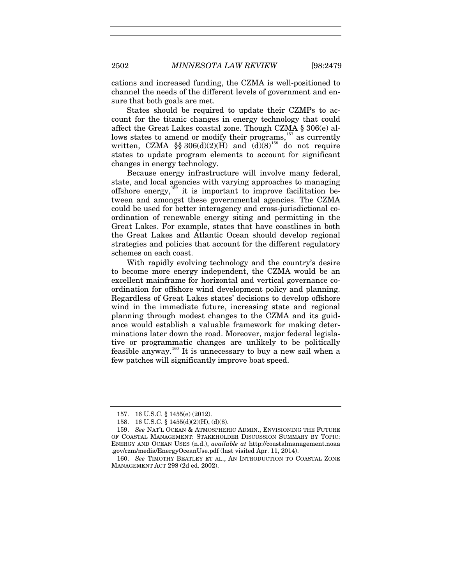cations and increased funding, the CZMA is well-positioned to channel the needs of the different levels of government and ensure that both goals are met.

States should be required to update their CZMPs to account for the titanic changes in energy technology that could affect the Great Lakes coastal zone. Though CZMA § 306(e) al-lows states to amend or modify their programs,<sup>[157](#page-24-0)</sup> as currently written, CZMA §§ 306(d)(2)(H) and  $(d)(8)^{158}$  $(d)(8)^{158}$  $(d)(8)^{158}$  do not require states to update program elements to account for significant changes in energy technology.

Because energy infrastructure will involve many federal, state, and local agencies with varying approaches to managing offshore energy,  $159$  it is important to improve facilitation between and amongst these governmental agencies. The CZMA could be used for better interagency and cross-jurisdictional coordination of renewable energy siting and permitting in the Great Lakes. For example, states that have coastlines in both the Great Lakes and Atlantic Ocean should develop regional strategies and policies that account for the different regulatory schemes on each coast.

With rapidly evolving technology and the country's desire to become more energy independent, the CZMA would be an excellent mainframe for horizontal and vertical governance coordination for offshore wind development policy and planning. Regardless of Great Lakes states' decisions to develop offshore wind in the immediate future, increasing state and regional planning through modest changes to the CZMA and its guidance would establish a valuable framework for making determinations later down the road. Moreover, major federal legislative or programmatic changes are unlikely to be politically feasible anyway.<sup>[160](#page-24-3)</sup> It is unnecessary to buy a new sail when a few patches will significantly improve boat speed.

<sup>157.</sup> 16 U.S.C. § 1455(e) (2012).

<sup>158.</sup> 16 U.S.C. § 1455(d)(2)(H), (d)(8).

<span id="page-24-2"></span><span id="page-24-1"></span><span id="page-24-0"></span><sup>159.</sup> *See* NAT'L OCEAN & ATMOSPHERIC ADMIN., ENVISIONING THE FUTURE OF COASTAL MANAGEMENT: STAKEHOLDER DISCUSSION SUMMARY BY TOPIC: ENERGY AND OCEAN USES (n.d.), *available at* http://coastalmanagement.noaa .gov/czm/media/EnergyOceanUse.pdf (last visited Apr. 11, 2014).

<span id="page-24-3"></span><sup>160.</sup> *See* TIMOTHY BEATLEY ET AL., AN INTRODUCTION TO COASTAL ZONE MANAGEMENT ACT 298 (2d ed. 2002).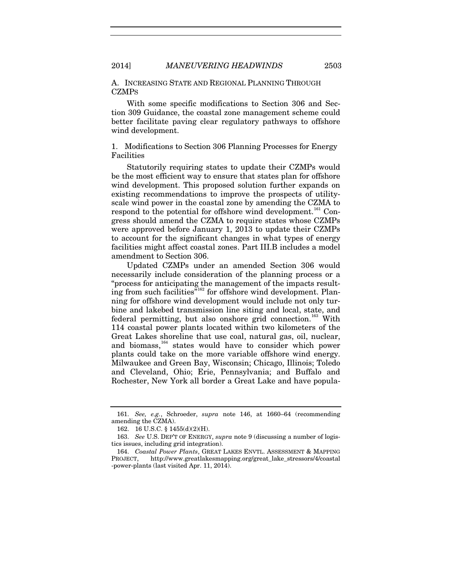A. INCREASING STATE AND REGIONAL PLANNING THROUGH CZMPS

With some specific modifications to Section 306 and Section 309 Guidance, the coastal zone management scheme could better facilitate paving clear regulatory pathways to offshore wind development.

1. Modifications to Section 306 Planning Processes for Energy Facilities

Statutorily requiring states to update their CZMPs would be the most efficient way to ensure that states plan for offshore wind development. This proposed solution further expands on existing recommendations to improve the prospects of utilityscale wind power in the coastal zone by amending the CZMA to respond to the potential for offshore wind development.<sup>[161](#page-25-0)</sup> Congress should amend the CZMA to require states whose CZMPs were approved before January 1, 2013 to update their CZMPs to account for the significant changes in what types of energy facilities might affect coastal zones. Part III.B includes a model amendment to Section 306.

Updated CZMPs under an amended Section 306 would necessarily include consideration of the planning process or a "process for anticipating the management of the impacts result-ing from such facilities<sup>7[162](#page-25-1)</sup> for offshore wind development. Planning for offshore wind development would include not only turbine and lakebed transmission line siting and local, state, and federal permitting, but also onshore grid connection.<sup>[163](#page-25-2)</sup> With 114 coastal power plants located within two kilometers of the Great Lakes shoreline that use coal, natural gas, oil, nuclear, and biomass,<sup>[164](#page-25-3)</sup> states would have to consider which power plants could take on the more variable offshore wind energy. Milwaukee and Green Bay, Wisconsin; Chicago, Illinois; Toledo and Cleveland, Ohio; Erie, Pennsylvania; and Buffalo and Rochester, New York all border a Great Lake and have popula-

<span id="page-25-4"></span><span id="page-25-1"></span><span id="page-25-0"></span><sup>161.</sup> *See, e.g.*, Schroeder, *supra* note [146,](#page-22-0) at 1660–64 (recommending amending the CZMA).

<sup>162.</sup> 16 U.S.C. § 1455(d)(2)(H).

<span id="page-25-2"></span><sup>163.</sup> *See* U.S. DEP'T OF ENERGY, *supra* not[e 9](#page-2-7) (discussing a number of logistics issues, including grid integration).

<span id="page-25-3"></span><sup>164.</sup> *Coastal Power Plants*, GREAT LAKES ENVTL. ASSESSMENT & MAPPING PROJECT, http://www.greatlakesmapping.org/great\_lake\_stressors/4/coastal -power-plants (last visited Apr. 11, 2014).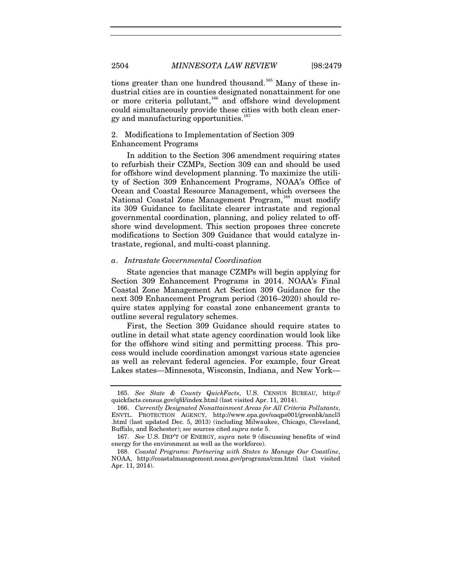tions greater than one hundred thousand.<sup>[165](#page-26-0)</sup> Many of these industrial cities are in counties designated nonattainment for one or more criteria pollutant,<sup>[166](#page-26-1)</sup> and offshore wind development could simultaneously provide these cities with both clean ener-gy and manufacturing opportunities.<sup>[167](#page-26-2)</sup>

## 2. Modifications to Implementation of Section 309

#### Enhancement Programs

In addition to the Section 306 amendment requiring states to refurbish their CZMPs, Section 309 can and should be used for offshore wind development planning. To maximize the utility of Section 309 Enhancement Programs, NOAA's Office of Ocean and Coastal Resource Management, which oversees the National Coastal Zone Management Program,<sup>[168](#page-26-3)</sup> must modify its 309 Guidance to facilitate clearer intrastate and regional governmental coordination, planning, and policy related to offshore wind development. This section proposes three concrete modifications to Section 309 Guidance that would catalyze intrastate, regional, and multi-coast planning.

#### *a*. *Intrastate Governmental Coordination*

State agencies that manage CZMPs will begin applying for Section 309 Enhancement Programs in 2014. NOAA's Final Coastal Zone Management Act Section 309 Guidance for the next 309 Enhancement Program period (2016–2020) should require states applying for coastal zone enhancement grants to outline several regulatory schemes.

First, the Section 309 Guidance should require states to outline in detail what state agency coordination would look like for the offshore wind siting and permitting process. This process would include coordination amongst various state agencies as well as relevant federal agencies. For example, four Great Lakes states—Minnesota, Wisconsin, Indiana, and New York—

<span id="page-26-0"></span><sup>165.</sup> *See State & County QuickFacts*, U.S. CENSUS BUREAU, http:// quickfacts.census.gov/qfd/index.html (last visited Apr. 11, 2014).

<span id="page-26-1"></span><sup>166.</sup> *Currently Designated Nonattainment Areas for All Criteria Pollutants*, ENVTL. PROTECTION AGENCY, http://www.epa.gov/oaqps001/greenbk/ancl3 .html (last updated Dec. 5, 2013) (including Milwaukee, Chicago, Cleveland, Buffalo, and Rochester); *see* sources cited *supra* not[e 5.](#page-2-9) 

<span id="page-26-2"></span><sup>167.</sup> *See* U.S. DEP'T OF ENERGY, *supra* note [9](#page-2-7) (discussing benefits of wind energy for the environment as well as the workforce).

<span id="page-26-3"></span><sup>168.</sup> *Coastal Programs: Partnering with States to Manage Our Coastline*, NOAA, http://coastalmanagement.noaa.gov/programs/czm.html (last visited Apr. 11, 2014).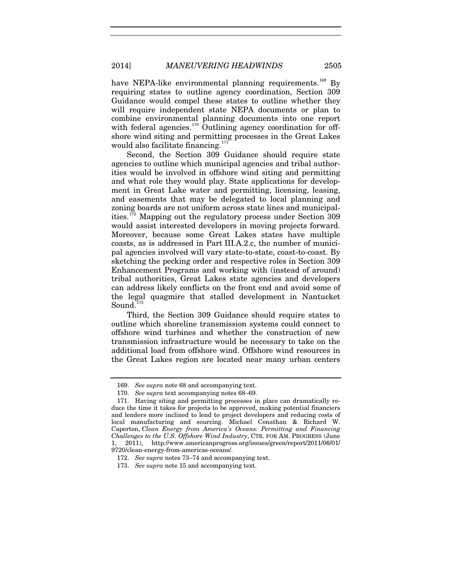2014] *MANEUVERING HEADWINDS* 2505

have NEPA-like environmental planning requirements.<sup>[169](#page-27-0)</sup> By requiring states to outline agency coordination, Section 309 Guidance would compel these states to outline whether they will require independent state NEPA documents or plan to combine environmental planning documents into one report with federal agencies.<sup>[170](#page-27-1)</sup> Outlining agency coordination for offshore wind siting and permitting processes in the Great Lakes would also facilitate financing.<sup>[171](#page-27-2)</sup>

Second, the Section 309 Guidance should require state agencies to outline which municipal agencies and tribal authorities would be involved in offshore wind siting and permitting and what role they would play. State applications for development in Great Lake water and permitting, licensing, leasing, and easements that may be delegated to local planning and zoning boards are not uniform across state lines and municipalities.[172](#page-27-3) Mapping out the regulatory process under Section 309 would assist interested developers in moving projects forward. Moreover, because some Great Lakes states have multiple coasts, as is addressed in Part III.A.2.c, the number of municipal agencies involved will vary state-to-state, coast-to-coast. By sketching the pecking order and respective roles in Section 309 Enhancement Programs and working with (instead of around) tribal authorities, Great Lakes state agencies and developers can address likely conflicts on the front end and avoid some of the legal quagmire that stalled development in Nantucket Sound.<sup>[173](#page-27-4)</sup>

Third, the Section 309 Guidance should require states to outline which shoreline transmission systems could connect to offshore wind turbines and whether the construction of new transmission infrastructure would be necessary to take on the additional load from offshore wind. Offshore wind resources in the Great Lakes region are located near many urban centers

<sup>169.</sup> *See supra* note [68](#page-12-9) and accompanying text.

<sup>170.</sup> *See supra* text accompanying notes [68](#page-12-9)[–69.](#page-12-10)

<span id="page-27-2"></span><span id="page-27-1"></span><span id="page-27-0"></span><sup>171.</sup> Having siting and permitting processes in place can dramatically reduce the time it takes for projects to be approved, making potential financiers and lenders more inclined to lend to project developers and reducing costs of local manufacturing and sourcing. Michael Conathan & Richard W. Caperton, *Clean Energy from America's Oceans: Permitting and Financing Challenges to the U.S. Offshore Wind Industry*, CTR. FOR AM. PROGRESS (June 1, 2011), http://www.americanprogress.org/issues/green/report/2011/06/01/ 9720/clean-energy-from-americas-oceans/.

<span id="page-27-3"></span><sup>172.</sup> *See supra* note[s 73](#page-12-11)[–74](#page-13-11) and accompanying text.

<span id="page-27-4"></span><sup>173.</sup> *See supra* note [15](#page-4-2) and accompanying text.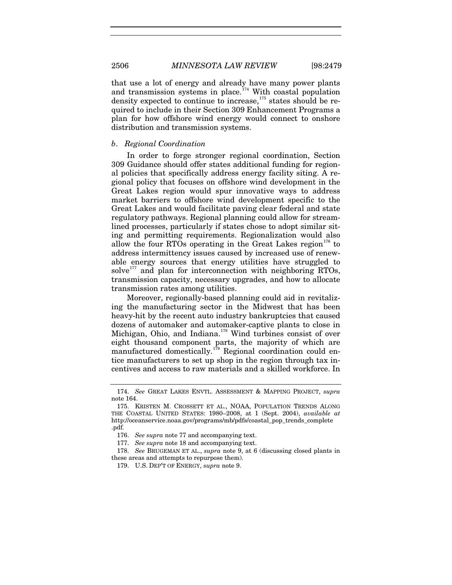2506 *MINNESOTA LAW REVIEW* [98:2479

that use a lot of energy and already have many power plants and transmission systems in place.<sup>[174](#page-28-1)</sup> With coastal population density expected to continue to increase,  $175$  states should be required to include in their Section 309 Enhancement Programs a plan for how offshore wind energy would connect to onshore distribution and transmission systems.

#### *b*. *Regional Coordination*

In order to forge stronger regional coordination, Section 309 Guidance should offer states additional funding for regional policies that specifically address energy facility siting. A regional policy that focuses on offshore wind development in the Great Lakes region would spur innovative ways to address market barriers to offshore wind development specific to the Great Lakes and would facilitate paving clear federal and state regulatory pathways. Regional planning could allow for streamlined processes, particularly if states chose to adopt similar siting and permitting requirements. Regionalization would also allow the four RTOs operating in the Great Lakes region<sup>[176](#page-28-3)</sup> to address intermittency issues caused by increased use of renewable energy sources that energy utilities have struggled to solve $^{177}$  $^{177}$  $^{177}$  and plan for interconnection with neighboring RTOs, transmission capacity, necessary upgrades, and how to allocate transmission rates among utilities.

<span id="page-28-0"></span>Moreover, regionally-based planning could aid in revitalizing the manufacturing sector in the Midwest that has been heavy-hit by the recent auto industry bankruptcies that caused dozens of automaker and automaker-captive plants to close in Michigan, Ohio, and Indiana. [178](#page-28-5) Wind turbines consist of over eight thousand component parts, the majority of which are manufactured domestically.<sup>[179](#page-28-6)</sup> Regional coordination could entice manufacturers to set up shop in the region through tax incentives and access to raw materials and a skilled workforce. In

<span id="page-28-1"></span><sup>174.</sup> *See* GREAT LAKES ENVTL. ASSESSMENT & MAPPING PROJECT, *supra*  note [164.](#page-25-4)

<span id="page-28-2"></span><sup>175.</sup> KRISTEN M. CROSSETT ET AL., NOAA, POPULATION TRENDS ALONG THE COASTAL UNITED STATES: 1980–2008, at 1 (Sept. 2004), *available at* http://oceanservice.noaa.gov/programs/mb/pdfs/coastal\_pop\_trends\_complete .pdf.

<sup>176.</sup> *See supra* note [77](#page-13-0) and accompanying text.

<sup>177.</sup> *See supra* note [18](#page-5-8) and accompanying text.

<span id="page-28-6"></span><span id="page-28-5"></span><span id="page-28-4"></span><span id="page-28-3"></span><sup>178.</sup> *See* BRUGEMAN ET AL., *supra* note [9,](#page-2-7) at 6 (discussing closed plants in these areas and attempts to repurpose them).

<sup>179.</sup> U.S. DEP'T OF ENERGY, *supra* note [9.](#page-2-7)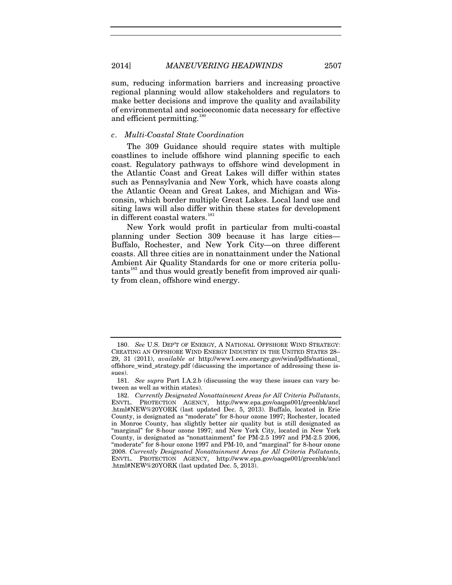sum, reducing information barriers and increasing proactive regional planning would allow stakeholders and regulators to make better decisions and improve the quality and availability of environmental and socioeconomic data necessary for effective and efficient permitting.<sup>[180](#page-29-0)</sup>

### *c*. *Multi-Coastal State Coordination*

The 309 Guidance should require states with multiple coastlines to include offshore wind planning specific to each coast. Regulatory pathways to offshore wind development in the Atlantic Coast and Great Lakes will differ within states such as Pennsylvania and New York, which have coasts along the Atlantic Ocean and Great Lakes, and Michigan and Wisconsin, which border multiple Great Lakes. Local land use and siting laws will also differ within these states for development in different coastal waters.<sup>[181](#page-29-1)</sup>

New York would profit in particular from multi-coastal planning under Section 309 because it has large cities— Buffalo, Rochester, and New York City—on three different coasts. All three cities are in nonattainment under the National Ambient Air Quality Standards for one or more criteria pollu-tants<sup>[182](#page-29-2)</sup> and thus would greatly benefit from improved air quality from clean, offshore wind energy.

<span id="page-29-0"></span><sup>180.</sup> *See* U.S. DEP'T OF ENERGY, A NATIONAL OFFSHORE WIND STRATEGY: CREATING AN OFFSHORE WIND ENERGY INDUSTRY IN THE UNITED STATES 28– 29, 31 (2011), *available at* http://www1.eere.energy.gov/wind/pdfs/national\_ offshore\_wind\_strategy.pdf (discussing the importance of addressing these issues).

<span id="page-29-1"></span><sup>181.</sup> *See supra* Part I.A.2.b (discussing the way these issues can vary between as well as within states).

<span id="page-29-2"></span><sup>182.</sup> *Currently Designated Nonattainment Areas for All Criteria Pollutants*, ENVTL. PROTECTION AGENCY, http://www.epa.gov/oaqps001/greenbk/ancl .html#NEW%20YORK (last updated Dec. 5, 2013). Buffalo, located in Erie County, is designated as "moderate" for 8-hour ozone 1997; Rochester, located in Monroe County, has slightly better air quality but is still designated as "marginal" for 8-hour ozone 1997; and New York City, located in New York County, is designated as "nonattainment" for PM-2.5 1997 and PM-2.5 2006, "moderate" for 8-hour ozone 1997 and PM-10, and "marginal" for 8-hour ozone 2008. *Currently Designated Nonattainment Areas for All Criteria Pollutants*, ENVTL. PROTECTION AGENCY, http://www.epa.gov/oaqps001/greenbk/ancl .html#NEW%20YORK (last updated Dec. 5, 2013).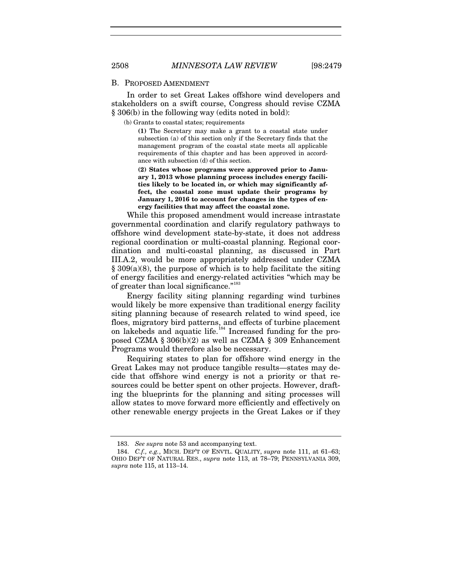#### B. PROPOSED AMENDMENT

In order to set Great Lakes offshore wind developers and stakeholders on a swift course, Congress should revise CZMA § 306(b) in the following way (edits noted in bold):

(b) Grants to coastal states; requirements

**(1)** The Secretary may make a grant to a coastal state under subsection (a) of this section only if the Secretary finds that the management program of the coastal state meets all applicable requirements of this chapter and has been approved in accordance with subsection (d) of this section.

**(2) States whose programs were approved prior to January 1, 2013 whose planning process includes energy facilities likely to be located in, or which may significantly affect, the coastal zone must update their programs by January 1, 2016 to account for changes in the types of energy facilities that may affect the coastal zone.**

While this proposed amendment would increase intrastate governmental coordination and clarify regulatory pathways to offshore wind development state-by-state, it does not address regional coordination or multi-coastal planning. Regional coordination and multi-coastal planning, as discussed in Part III.A.2, would be more appropriately addressed under CZMA  $§ 309(a)(8)$ , the purpose of which is to help facilitate the siting of energy facilities and energy-related activities "which may be of greater than local significance."<sup>[183](#page-30-0)</sup>

Energy facility siting planning regarding wind turbines would likely be more expensive than traditional energy facility siting planning because of research related to wind speed, ice floes, migratory bird patterns, and effects of turbine placement on lakebeds and aquatic life.<sup>[184](#page-30-1)</sup> Increased funding for the proposed CZMA § 306(b)(2) as well as CZMA § 309 Enhancement Programs would therefore also be necessary.

Requiring states to plan for offshore wind energy in the Great Lakes may not produce tangible results—states may decide that offshore wind energy is not a priority or that resources could be better spent on other projects. However, drafting the blueprints for the planning and siting processes will allow states to move forward more efficiently and effectively on other renewable energy projects in the Great Lakes or if they

<sup>183.</sup> *See supra* note [53](#page-9-6) and accompanying text.

<span id="page-30-1"></span><span id="page-30-0"></span><sup>184.</sup> *C.f., e.g.*, MICH. DEP'T OF ENVTL. QUALITY, *supra* note [111,](#page-18-4) at 61–63; OHIO DEP'T OF NATURAL RES., *supra* note [113,](#page-18-5) at 78–79; PENNSYLVANIA 309, *supra* note [115,](#page-18-6) at 113–14.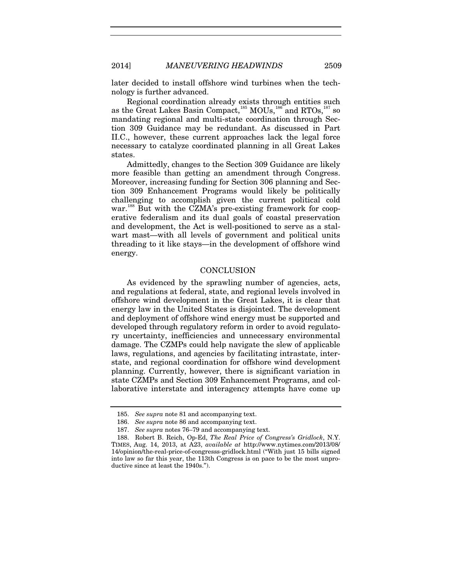later decided to install offshore wind turbines when the technology is further advanced.

Regional coordination already exists through entities such as the Great Lakes Basin Compact,<sup>[185](#page-31-0)</sup> MOUs,<sup>[186](#page-31-1)</sup> and RTOs,<sup>[187](#page-31-2)</sup> so mandating regional and multi-state coordination through Section 309 Guidance may be redundant. As discussed in Part II.C., however, these current approaches lack the legal force necessary to catalyze coordinated planning in all Great Lakes states.

Admittedly, changes to the Section 309 Guidance are likely more feasible than getting an amendment through Congress. Moreover, increasing funding for Section 306 planning and Section 309 Enhancement Programs would likely be politically challenging to accomplish given the current political cold war.<sup>[188](#page-31-3)</sup> But with the CZMA's pre-existing framework for cooperative federalism and its dual goals of coastal preservation and development, the Act is well-positioned to serve as a stalwart mast—with all levels of government and political units threading to it like stays—in the development of offshore wind energy.

#### **CONCLUSION**

As evidenced by the sprawling number of agencies, acts, and regulations at federal, state, and regional levels involved in offshore wind development in the Great Lakes, it is clear that energy law in the United States is disjointed. The development and deployment of offshore wind energy must be supported and developed through regulatory reform in order to avoid regulatory uncertainty, inefficiencies and unnecessary environmental damage. The CZMPs could help navigate the slew of applicable laws, regulations, and agencies by facilitating intrastate, interstate, and regional coordination for offshore wind development planning. Currently, however, there is significant variation in state CZMPs and Section 309 Enhancement Programs, and collaborative interstate and interagency attempts have come up

<sup>185.</sup> *See supra* note [81](#page-13-12) and accompanying text.

<sup>186.</sup> *See supra* note [86](#page-14-9) and accompanying text.

<sup>187.</sup> *See supra* note[s 76](#page-13-10)[–79](#page-13-13) and accompanying text.

<span id="page-31-3"></span><span id="page-31-2"></span><span id="page-31-1"></span><span id="page-31-0"></span><sup>188.</sup> Robert B. Reich, Op-Ed, *The Real Price of Congress's Gridlock*, N.Y. TIMES, Aug. 14, 2013, at A23, *available at* http://www.nytimes.com/2013/08/ 14/opinion/the-real-price-of-congresss-gridlock.html ("With just 15 bills signed into law so far this year, the 113th Congress is on pace to be the most unproductive since at least the 1940s.").